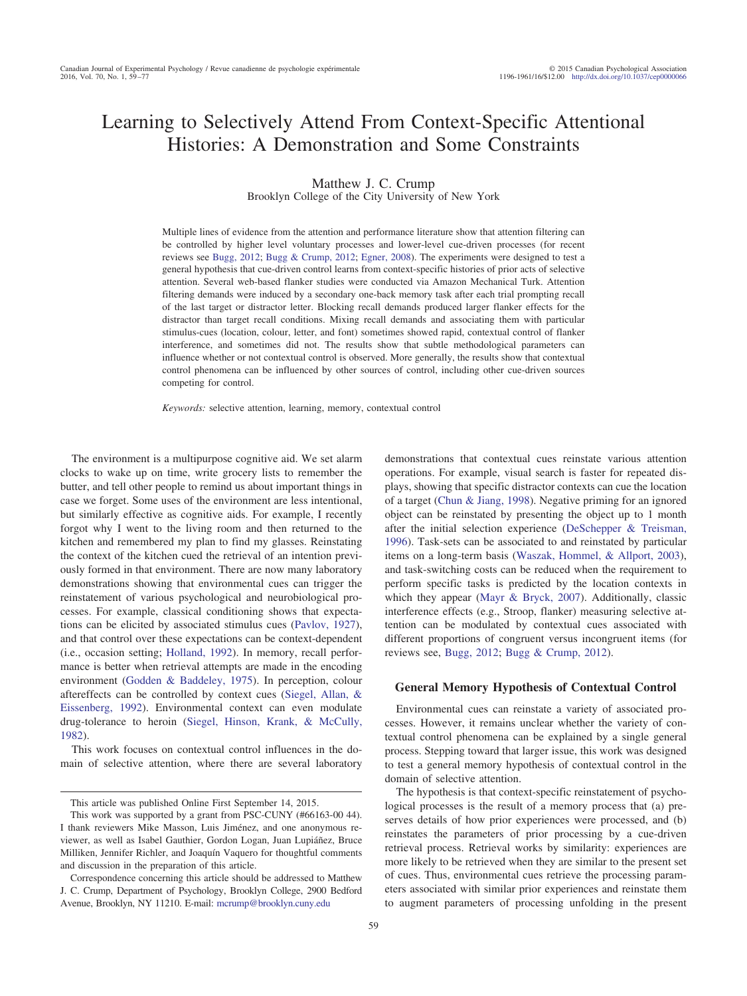# Learning to Selectively Attend From Context-Specific Attentional Histories: A Demonstration and Some Constraints

Matthew J. C. Crump

Brooklyn College of the City University of New York

Multiple lines of evidence from the attention and performance literature show that attention filtering can be controlled by higher level voluntary processes and lower-level cue-driven processes (for recent reviews see [Bugg, 2012;](#page-16-0) [Bugg & Crump, 2012;](#page-16-1) [Egner, 2008\)](#page-16-2). The experiments were designed to test a general hypothesis that cue-driven control learns from context-specific histories of prior acts of selective attention. Several web-based flanker studies were conducted via Amazon Mechanical Turk. Attention filtering demands were induced by a secondary one-back memory task after each trial prompting recall of the last target or distractor letter. Blocking recall demands produced larger flanker effects for the distractor than target recall conditions. Mixing recall demands and associating them with particular stimulus-cues (location, colour, letter, and font) sometimes showed rapid, contextual control of flanker interference, and sometimes did not. The results show that subtle methodological parameters can influence whether or not contextual control is observed. More generally, the results show that contextual control phenomena can be influenced by other sources of control, including other cue-driven sources competing for control.

*Keywords:* selective attention, learning, memory, contextual control

The environment is a multipurpose cognitive aid. We set alarm clocks to wake up on time, write grocery lists to remember the butter, and tell other people to remind us about important things in case we forget. Some uses of the environment are less intentional, but similarly effective as cognitive aids. For example, I recently forgot why I went to the living room and then returned to the kitchen and remembered my plan to find my glasses. Reinstating the context of the kitchen cued the retrieval of an intention previously formed in that environment. There are now many laboratory demonstrations showing that environmental cues can trigger the reinstatement of various psychological and neurobiological processes. For example, classical conditioning shows that expectations can be elicited by associated stimulus cues [\(Pavlov, 1927\)](#page-17-0), and that control over these expectations can be context-dependent (i.e., occasion setting; [Holland, 1992\)](#page-16-3). In memory, recall performance is better when retrieval attempts are made in the encoding environment [\(Godden & Baddeley, 1975\)](#page-16-4). In perception, colour aftereffects can be controlled by context cues [\(Siegel, Allan, &](#page-17-1) [Eissenberg, 1992\)](#page-17-1). Environmental context can even modulate drug-tolerance to heroin [\(Siegel, Hinson, Krank, & McCully,](#page-17-2) [1982\)](#page-17-2).

This work focuses on contextual control influences in the domain of selective attention, where there are several laboratory demonstrations that contextual cues reinstate various attention operations. For example, visual search is faster for repeated displays, showing that specific distractor contexts can cue the location of a target [\(Chun & Jiang, 1998\)](#page-16-5). Negative priming for an ignored object can be reinstated by presenting the object up to 1 month after the initial selection experience [\(DeSchepper & Treisman,](#page-16-6) [1996\)](#page-16-6). Task-sets can be associated to and reinstated by particular items on a long-term basis [\(Waszak, Hommel, & Allport, 2003\)](#page-17-3), and task-switching costs can be reduced when the requirement to perform specific tasks is predicted by the location contexts in which they appear [\(Mayr & Bryck, 2007\)](#page-17-4). Additionally, classic interference effects (e.g., Stroop, flanker) measuring selective attention can be modulated by contextual cues associated with different proportions of congruent versus incongruent items (for reviews see, [Bugg, 2012;](#page-16-0) [Bugg & Crump, 2012\)](#page-16-1).

# **General Memory Hypothesis of Contextual Control**

Environmental cues can reinstate a variety of associated processes. However, it remains unclear whether the variety of contextual control phenomena can be explained by a single general process. Stepping toward that larger issue, this work was designed to test a general memory hypothesis of contextual control in the domain of selective attention.

The hypothesis is that context-specific reinstatement of psychological processes is the result of a memory process that (a) preserves details of how prior experiences were processed, and (b) reinstates the parameters of prior processing by a cue-driven retrieval process. Retrieval works by similarity: experiences are more likely to be retrieved when they are similar to the present set of cues. Thus, environmental cues retrieve the processing parameters associated with similar prior experiences and reinstate them to augment parameters of processing unfolding in the present

This article was published Online First September 14, 2015.

This work was supported by a grant from PSC-CUNY (#66163-00 44). I thank reviewers Mike Masson, Luis Jiménez, and one anonymous reviewer, as well as Isabel Gauthier, Gordon Logan, Juan Lupiáñez, Bruce Milliken, Jennifer Richler, and Joaquín Vaquero for thoughtful comments and discussion in the preparation of this article.

Correspondence concerning this article should be addressed to Matthew J. C. Crump, Department of Psychology, Brooklyn College, 2900 Bedford Avenue, Brooklyn, NY 11210. E-mail: [mcrump@brooklyn.cuny.edu](mailto:mcrump@brooklyn.cuny.edu)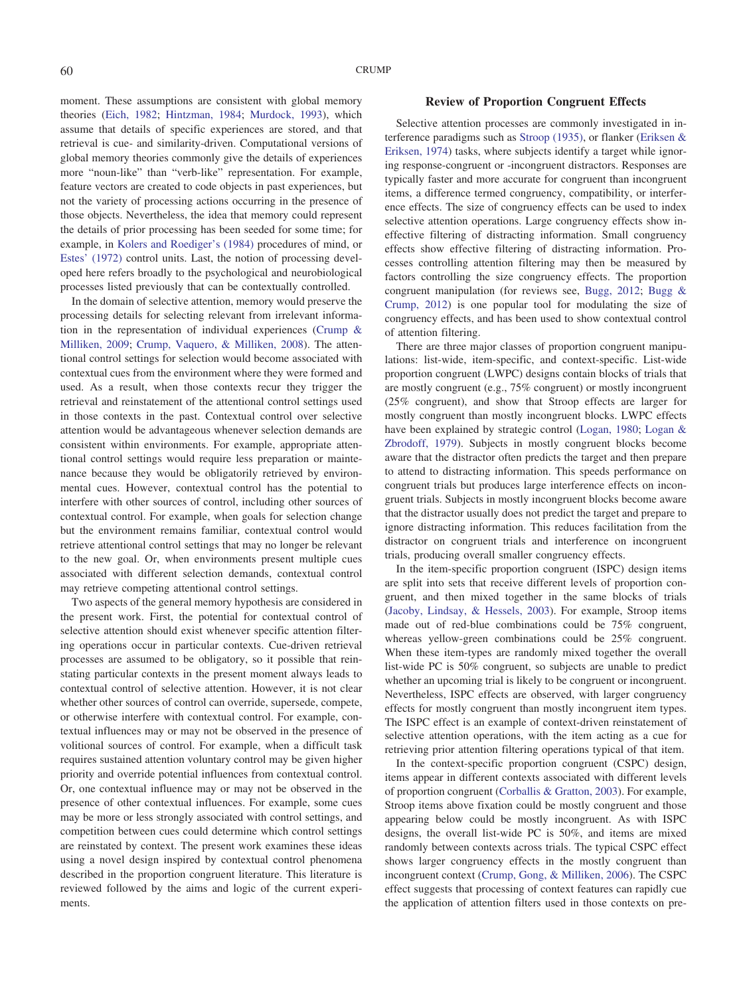moment. These assumptions are consistent with global memory theories [\(Eich, 1982;](#page-16-7) [Hintzman, 1984;](#page-16-8) [Murdock, 1993\)](#page-17-5), which assume that details of specific experiences are stored, and that retrieval is cue- and similarity-driven. Computational versions of global memory theories commonly give the details of experiences more "noun-like" than "verb-like" representation. For example, feature vectors are created to code objects in past experiences, but not the variety of processing actions occurring in the presence of those objects. Nevertheless, the idea that memory could represent the details of prior processing has been seeded for some time; for example, in [Kolers and Roediger's \(1984\)](#page-16-9) procedures of mind, or [Estes' \(1972\)](#page-16-10) control units. Last, the notion of processing developed here refers broadly to the psychological and neurobiological processes listed previously that can be contextually controlled.

In the domain of selective attention, memory would preserve the processing details for selecting relevant from irrelevant information in the representation of individual experiences [\(Crump &](#page-16-11) [Milliken, 2009;](#page-16-11) [Crump, Vaquero, & Milliken, 2008\)](#page-16-12). The attentional control settings for selection would become associated with contextual cues from the environment where they were formed and used. As a result, when those contexts recur they trigger the retrieval and reinstatement of the attentional control settings used in those contexts in the past. Contextual control over selective attention would be advantageous whenever selection demands are consistent within environments. For example, appropriate attentional control settings would require less preparation or maintenance because they would be obligatorily retrieved by environmental cues. However, contextual control has the potential to interfere with other sources of control, including other sources of contextual control. For example, when goals for selection change but the environment remains familiar, contextual control would retrieve attentional control settings that may no longer be relevant to the new goal. Or, when environments present multiple cues associated with different selection demands, contextual control may retrieve competing attentional control settings.

Two aspects of the general memory hypothesis are considered in the present work. First, the potential for contextual control of selective attention should exist whenever specific attention filtering operations occur in particular contexts. Cue-driven retrieval processes are assumed to be obligatory, so it possible that reinstating particular contexts in the present moment always leads to contextual control of selective attention. However, it is not clear whether other sources of control can override, supersede, compete, or otherwise interfere with contextual control. For example, contextual influences may or may not be observed in the presence of volitional sources of control. For example, when a difficult task requires sustained attention voluntary control may be given higher priority and override potential influences from contextual control. Or, one contextual influence may or may not be observed in the presence of other contextual influences. For example, some cues may be more or less strongly associated with control settings, and competition between cues could determine which control settings are reinstated by context. The present work examines these ideas using a novel design inspired by contextual control phenomena described in the proportion congruent literature. This literature is reviewed followed by the aims and logic of the current experiments.

# **Review of Proportion Congruent Effects**

Selective attention processes are commonly investigated in interference paradigms such as [Stroop \(1935\),](#page-17-6) or flanker [\(Eriksen &](#page-16-13) [Eriksen, 1974\)](#page-16-13) tasks, where subjects identify a target while ignoring response-congruent or -incongruent distractors. Responses are typically faster and more accurate for congruent than incongruent items, a difference termed congruency, compatibility, or interference effects. The size of congruency effects can be used to index selective attention operations. Large congruency effects show ineffective filtering of distracting information. Small congruency effects show effective filtering of distracting information. Processes controlling attention filtering may then be measured by factors controlling the size congruency effects. The proportion congruent manipulation (for reviews see, [Bugg, 2012;](#page-16-0) [Bugg &](#page-16-1) [Crump, 2012\)](#page-16-1) is one popular tool for modulating the size of congruency effects, and has been used to show contextual control of attention filtering.

There are three major classes of proportion congruent manipulations: list-wide, item-specific, and context-specific. List-wide proportion congruent (LWPC) designs contain blocks of trials that are mostly congruent (e.g., 75% congruent) or mostly incongruent (25% congruent), and show that Stroop effects are larger for mostly congruent than mostly incongruent blocks. LWPC effects have been explained by strategic control [\(Logan, 1980;](#page-17-7) [Logan &](#page-17-8) [Zbrodoff, 1979\)](#page-17-8). Subjects in mostly congruent blocks become aware that the distractor often predicts the target and then prepare to attend to distracting information. This speeds performance on congruent trials but produces large interference effects on incongruent trials. Subjects in mostly incongruent blocks become aware that the distractor usually does not predict the target and prepare to ignore distracting information. This reduces facilitation from the distractor on congruent trials and interference on incongruent trials, producing overall smaller congruency effects.

In the item-specific proportion congruent (ISPC) design items are split into sets that receive different levels of proportion congruent, and then mixed together in the same blocks of trials [\(Jacoby, Lindsay, & Hessels, 2003\)](#page-16-14). For example, Stroop items made out of red-blue combinations could be 75% congruent, whereas yellow-green combinations could be 25% congruent. When these item-types are randomly mixed together the overall list-wide PC is 50% congruent, so subjects are unable to predict whether an upcoming trial is likely to be congruent or incongruent. Nevertheless, ISPC effects are observed, with larger congruency effects for mostly congruent than mostly incongruent item types. The ISPC effect is an example of context-driven reinstatement of selective attention operations, with the item acting as a cue for retrieving prior attention filtering operations typical of that item.

In the context-specific proportion congruent (CSPC) design, items appear in different contexts associated with different levels of proportion congruent [\(Corballis & Gratton, 2003\)](#page-16-15). For example, Stroop items above fixation could be mostly congruent and those appearing below could be mostly incongruent. As with ISPC designs, the overall list-wide PC is 50%, and items are mixed randomly between contexts across trials. The typical CSPC effect shows larger congruency effects in the mostly congruent than incongruent context [\(Crump, Gong, & Milliken, 2006\)](#page-16-16). The CSPC effect suggests that processing of context features can rapidly cue the application of attention filters used in those contexts on pre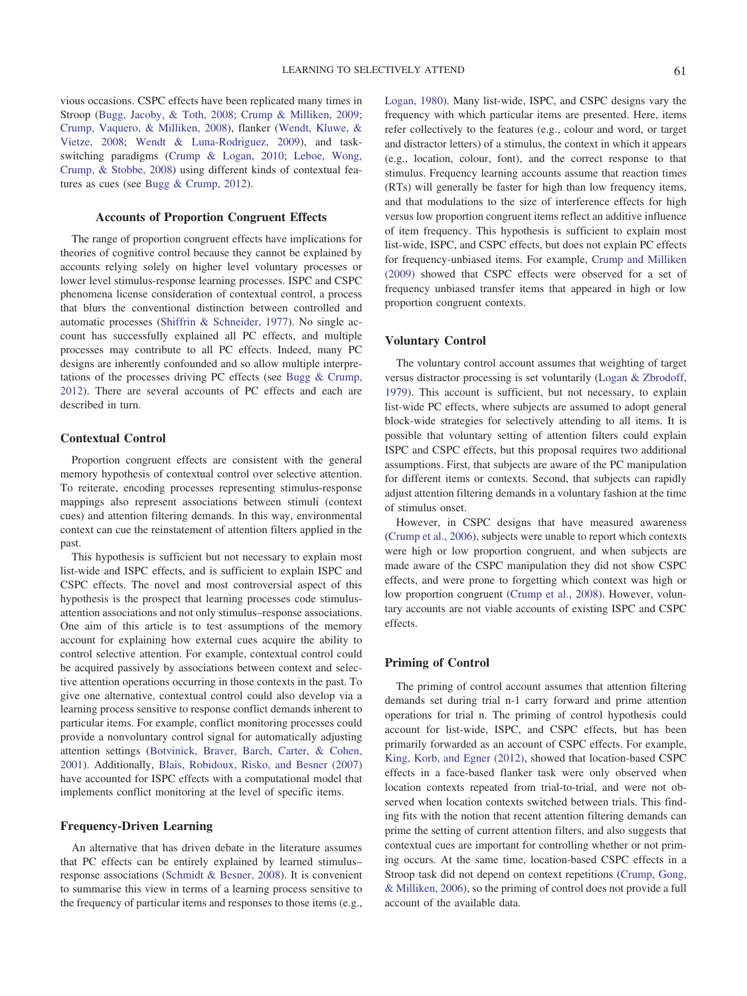vious occasions. CSPC effects have been replicated many times in Stroop [\(Bugg, Jacoby, & Toth, 2008;](#page-16-17) [Crump & Milliken, 2009;](#page-16-11) [Crump, Vaquero, & Milliken, 2008\)](#page-16-12), flanker [\(Wendt, Kluwe, &](#page-17-9) [Vietze, 2008;](#page-17-9) [Wendt & Luna-Rodriguez, 2009\)](#page-17-10), and taskswitching paradigms [\(Crump & Logan, 2010;](#page-16-18) [Leboe, Wong,](#page-17-11) [Crump, & Stobbe, 2008\)](#page-17-11) using different kinds of contextual features as cues (see [Bugg & Crump, 2012\)](#page-16-1).

#### **Accounts of Proportion Congruent Effects**

The range of proportion congruent effects have implications for theories of cognitive control because they cannot be explained by accounts relying solely on higher level voluntary processes or lower level stimulus-response learning processes. ISPC and CSPC phenomena license consideration of contextual control, a process that blurs the conventional distinction between controlled and automatic processes [\(Shiffrin & Schneider, 1977\)](#page-17-12). No single account has successfully explained all PC effects, and multiple processes may contribute to all PC effects. Indeed, many PC designs are inherently confounded and so allow multiple interpretations of the processes driving PC effects (see [Bugg & Crump,](#page-16-1) [2012\)](#page-16-1). There are several accounts of PC effects and each are described in turn.

# **Contextual Control**

Proportion congruent effects are consistent with the general memory hypothesis of contextual control over selective attention. To reiterate, encoding processes representing stimulus-response mappings also represent associations between stimuli (context cues) and attention filtering demands. In this way, environmental context can cue the reinstatement of attention filters applied in the past.

This hypothesis is sufficient but not necessary to explain most list-wide and ISPC effects, and is sufficient to explain ISPC and CSPC effects. The novel and most controversial aspect of this hypothesis is the prospect that learning processes code stimulusattention associations and not only stimulus–response associations. One aim of this article is to test assumptions of the memory account for explaining how external cues acquire the ability to control selective attention. For example, contextual control could be acquired passively by associations between context and selective attention operations occurring in those contexts in the past. To give one alternative, contextual control could also develop via a learning process sensitive to response conflict demands inherent to particular items. For example, conflict monitoring processes could provide a nonvoluntary control signal for automatically adjusting attention settings [\(Botvinick, Braver, Barch, Carter, & Cohen,](#page-16-19) [2001\)](#page-16-19). Additionally, [Blais, Robidoux, Risko, and Besner \(2007\)](#page-16-20) have accounted for ISPC effects with a computational model that implements conflict monitoring at the level of specific items.

## **Frequency-Driven Learning**

An alternative that has driven debate in the literature assumes that PC effects can be entirely explained by learned stimulus– response associations [\(Schmidt & Besner, 2008\)](#page-17-13). It is convenient to summarise this view in terms of a learning process sensitive to the frequency of particular items and responses to those items (e.g., [Logan, 1980\)](#page-17-7). Many list-wide, ISPC, and CSPC designs vary the frequency with which particular items are presented. Here, items refer collectively to the features (e.g., colour and word, or target and distractor letters) of a stimulus, the context in which it appears (e.g., location, colour, font), and the correct response to that stimulus. Frequency learning accounts assume that reaction times (RTs) will generally be faster for high than low frequency items, and that modulations to the size of interference effects for high versus low proportion congruent items reflect an additive influence of item frequency. This hypothesis is sufficient to explain most list-wide, ISPC, and CSPC effects, but does not explain PC effects for frequency-unbiased items. For example, [Crump and Milliken](#page-16-11) [\(2009\)](#page-16-11) showed that CSPC effects were observed for a set of frequency unbiased transfer items that appeared in high or low proportion congruent contexts.

# **Voluntary Control**

The voluntary control account assumes that weighting of target versus distractor processing is set voluntarily [\(Logan & Zbrodoff,](#page-17-8) [1979\)](#page-17-8). This account is sufficient, but not necessary, to explain list-wide PC effects, where subjects are assumed to adopt general block-wide strategies for selectively attending to all items. It is possible that voluntary setting of attention filters could explain ISPC and CSPC effects, but this proposal requires two additional assumptions. First, that subjects are aware of the PC manipulation for different items or contexts. Second, that subjects can rapidly adjust attention filtering demands in a voluntary fashion at the time of stimulus onset.

However, in CSPC designs that have measured awareness [\(Crump et al., 2006\)](#page-16-16), subjects were unable to report which contexts were high or low proportion congruent, and when subjects are made aware of the CSPC manipulation they did not show CSPC effects, and were prone to forgetting which context was high or low proportion congruent [\(Crump et al., 2008\)](#page-16-12). However, voluntary accounts are not viable accounts of existing ISPC and CSPC effects.

# **Priming of Control**

The priming of control account assumes that attention filtering demands set during trial n-1 carry forward and prime attention operations for trial n. The priming of control hypothesis could account for list-wide, ISPC, and CSPC effects, but has been primarily forwarded as an account of CSPC effects. For example, [King, Korb, and Egner \(2012\),](#page-16-21) showed that location-based CSPC effects in a face-based flanker task were only observed when location contexts repeated from trial-to-trial, and were not observed when location contexts switched between trials. This finding fits with the notion that recent attention filtering demands can prime the setting of current attention filters, and also suggests that contextual cues are important for controlling whether or not priming occurs. At the same time, location-based CSPC effects in a Stroop task did not depend on context repetitions [\(Crump, Gong,](#page-16-16) [& Milliken, 2006\)](#page-16-16), so the priming of control does not provide a full account of the available data.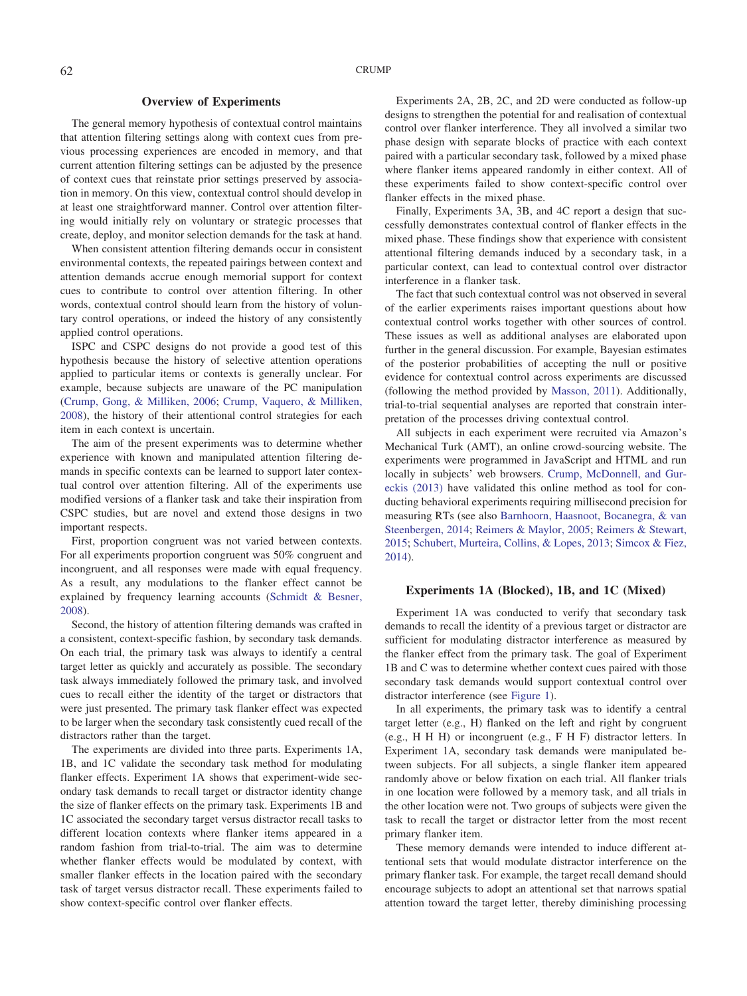# **Overview of Experiments**

The general memory hypothesis of contextual control maintains that attention filtering settings along with context cues from previous processing experiences are encoded in memory, and that current attention filtering settings can be adjusted by the presence of context cues that reinstate prior settings preserved by association in memory. On this view, contextual control should develop in at least one straightforward manner. Control over attention filtering would initially rely on voluntary or strategic processes that create, deploy, and monitor selection demands for the task at hand.

When consistent attention filtering demands occur in consistent environmental contexts, the repeated pairings between context and attention demands accrue enough memorial support for context cues to contribute to control over attention filtering. In other words, contextual control should learn from the history of voluntary control operations, or indeed the history of any consistently applied control operations.

ISPC and CSPC designs do not provide a good test of this hypothesis because the history of selective attention operations applied to particular items or contexts is generally unclear. For example, because subjects are unaware of the PC manipulation [\(Crump, Gong, & Milliken, 2006;](#page-16-16) [Crump, Vaquero, & Milliken,](#page-16-12) [2008\)](#page-16-12), the history of their attentional control strategies for each item in each context is uncertain.

The aim of the present experiments was to determine whether experience with known and manipulated attention filtering demands in specific contexts can be learned to support later contextual control over attention filtering. All of the experiments use modified versions of a flanker task and take their inspiration from CSPC studies, but are novel and extend those designs in two important respects.

First, proportion congruent was not varied between contexts. For all experiments proportion congruent was 50% congruent and incongruent, and all responses were made with equal frequency. As a result, any modulations to the flanker effect cannot be explained by frequency learning accounts [\(Schmidt & Besner,](#page-17-13) [2008\)](#page-17-13).

Second, the history of attention filtering demands was crafted in a consistent, context-specific fashion, by secondary task demands. On each trial, the primary task was always to identify a central target letter as quickly and accurately as possible. The secondary task always immediately followed the primary task, and involved cues to recall either the identity of the target or distractors that were just presented. The primary task flanker effect was expected to be larger when the secondary task consistently cued recall of the distractors rather than the target.

The experiments are divided into three parts. Experiments 1A, 1B, and 1C validate the secondary task method for modulating flanker effects. Experiment 1A shows that experiment-wide secondary task demands to recall target or distractor identity change the size of flanker effects on the primary task. Experiments 1B and 1C associated the secondary target versus distractor recall tasks to different location contexts where flanker items appeared in a random fashion from trial-to-trial. The aim was to determine whether flanker effects would be modulated by context, with smaller flanker effects in the location paired with the secondary task of target versus distractor recall. These experiments failed to show context-specific control over flanker effects.

Experiments 2A, 2B, 2C, and 2D were conducted as follow-up designs to strengthen the potential for and realisation of contextual control over flanker interference. They all involved a similar two phase design with separate blocks of practice with each context paired with a particular secondary task, followed by a mixed phase where flanker items appeared randomly in either context. All of these experiments failed to show context-specific control over flanker effects in the mixed phase.

Finally, Experiments 3A, 3B, and 4C report a design that successfully demonstrates contextual control of flanker effects in the mixed phase. These findings show that experience with consistent attentional filtering demands induced by a secondary task, in a particular context, can lead to contextual control over distractor interference in a flanker task.

The fact that such contextual control was not observed in several of the earlier experiments raises important questions about how contextual control works together with other sources of control. These issues as well as additional analyses are elaborated upon further in the general discussion. For example, Bayesian estimates of the posterior probabilities of accepting the null or positive evidence for contextual control across experiments are discussed (following the method provided by [Masson, 2011\)](#page-17-14). Additionally, trial-to-trial sequential analyses are reported that constrain interpretation of the processes driving contextual control.

All subjects in each experiment were recruited via Amazon's Mechanical Turk (AMT), an online crowd-sourcing website. The experiments were programmed in JavaScript and HTML and run locally in subjects' web browsers. [Crump, McDonnell, and Gur](#page-16-22)[eckis \(2013\)](#page-16-22) have validated this online method as tool for conducting behavioral experiments requiring millisecond precision for measuring RTs (see also [Barnhoorn, Haasnoot, Bocanegra, & van](#page-16-23) [Steenbergen, 2014;](#page-16-23) [Reimers & Maylor, 2005;](#page-17-15) [Reimers & Stewart,](#page-17-16) [2015;](#page-17-16) [Schubert, Murteira, Collins, & Lopes, 2013;](#page-17-17) [Simcox & Fiez,](#page-17-18) [2014\)](#page-17-18).

# **Experiments 1A (Blocked), 1B, and 1C (Mixed)**

Experiment 1A was conducted to verify that secondary task demands to recall the identity of a previous target or distractor are sufficient for modulating distractor interference as measured by the flanker effect from the primary task. The goal of Experiment 1B and C was to determine whether context cues paired with those secondary task demands would support contextual control over distractor interference (see [Figure 1\)](#page-4-0).

In all experiments, the primary task was to identify a central target letter (e.g., H) flanked on the left and right by congruent (e.g., H H H) or incongruent (e.g., F H F) distractor letters. In Experiment 1A, secondary task demands were manipulated between subjects. For all subjects, a single flanker item appeared randomly above or below fixation on each trial. All flanker trials in one location were followed by a memory task, and all trials in the other location were not. Two groups of subjects were given the task to recall the target or distractor letter from the most recent primary flanker item.

These memory demands were intended to induce different attentional sets that would modulate distractor interference on the primary flanker task. For example, the target recall demand should encourage subjects to adopt an attentional set that narrows spatial attention toward the target letter, thereby diminishing processing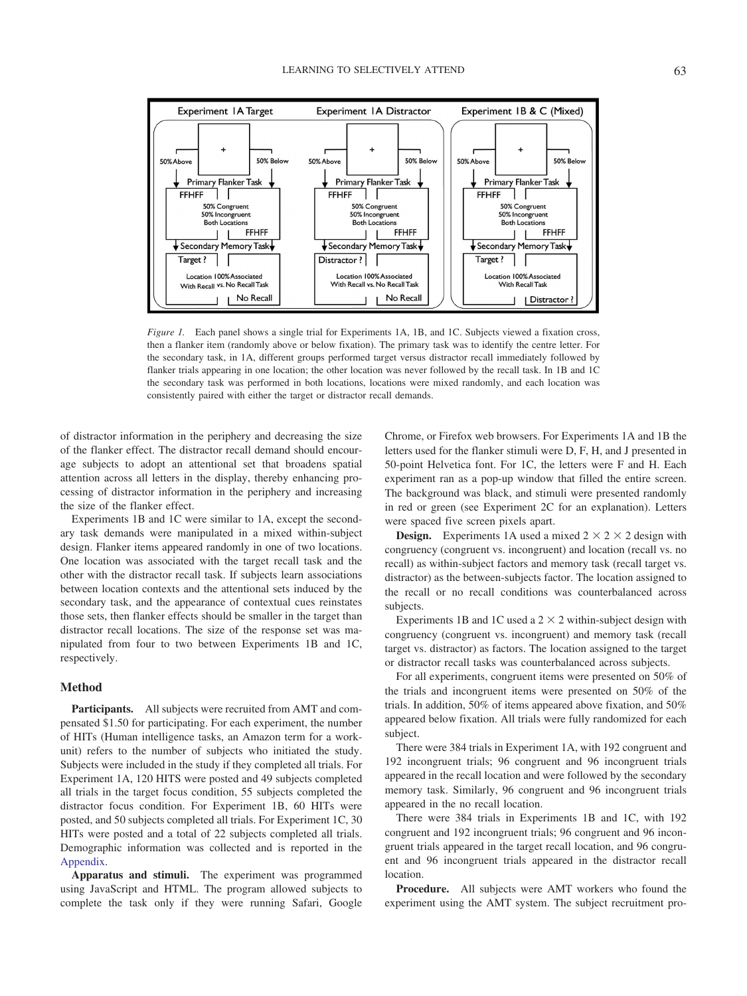

<span id="page-4-0"></span>*Figure 1.* Each panel shows a single trial for Experiments 1A, 1B, and 1C. Subjects viewed a fixation cross, then a flanker item (randomly above or below fixation). The primary task was to identify the centre letter. For the secondary task, in 1A, different groups performed target versus distractor recall immediately followed by flanker trials appearing in one location; the other location was never followed by the recall task. In 1B and 1C the secondary task was performed in both locations, locations were mixed randomly, and each location was consistently paired with either the target or distractor recall demands.

of distractor information in the periphery and decreasing the size of the flanker effect. The distractor recall demand should encourage subjects to adopt an attentional set that broadens spatial attention across all letters in the display, thereby enhancing processing of distractor information in the periphery and increasing the size of the flanker effect.

Experiments 1B and 1C were similar to 1A, except the secondary task demands were manipulated in a mixed within-subject design. Flanker items appeared randomly in one of two locations. One location was associated with the target recall task and the other with the distractor recall task. If subjects learn associations between location contexts and the attentional sets induced by the secondary task, and the appearance of contextual cues reinstates those sets, then flanker effects should be smaller in the target than distractor recall locations. The size of the response set was manipulated from four to two between Experiments 1B and 1C, respectively.

## **Method**

**Participants.** All subjects were recruited from AMT and compensated \$1.50 for participating. For each experiment, the number of HITs (Human intelligence tasks, an Amazon term for a workunit) refers to the number of subjects who initiated the study. Subjects were included in the study if they completed all trials. For Experiment 1A, 120 HITS were posted and 49 subjects completed all trials in the target focus condition, 55 subjects completed the distractor focus condition. For Experiment 1B, 60 HITs were posted, and 50 subjects completed all trials. For Experiment 1C, 30 HITs were posted and a total of 22 subjects completed all trials. Demographic information was collected and is reported in the [Appendix.](#page-18-0)

**Apparatus and stimuli.** The experiment was programmed using JavaScript and HTML. The program allowed subjects to complete the task only if they were running Safari, Google

Chrome, or Firefox web browsers. For Experiments 1A and 1B the letters used for the flanker stimuli were D, F, H, and J presented in 50-point Helvetica font. For 1C, the letters were F and H. Each experiment ran as a pop-up window that filled the entire screen. The background was black, and stimuli were presented randomly in red or green (see Experiment 2C for an explanation). Letters were spaced five screen pixels apart.

**Design.** Experiments 1A used a mixed  $2 \times 2 \times 2$  design with congruency (congruent vs. incongruent) and location (recall vs. no recall) as within-subject factors and memory task (recall target vs. distractor) as the between-subjects factor. The location assigned to the recall or no recall conditions was counterbalanced across subjects.

Experiments 1B and 1C used a  $2 \times 2$  within-subject design with congruency (congruent vs. incongruent) and memory task (recall target vs. distractor) as factors. The location assigned to the target or distractor recall tasks was counterbalanced across subjects.

For all experiments, congruent items were presented on 50% of the trials and incongruent items were presented on 50% of the trials. In addition, 50% of items appeared above fixation, and 50% appeared below fixation. All trials were fully randomized for each subject.

There were 384 trials in Experiment 1A, with 192 congruent and 192 incongruent trials; 96 congruent and 96 incongruent trials appeared in the recall location and were followed by the secondary memory task. Similarly, 96 congruent and 96 incongruent trials appeared in the no recall location.

There were 384 trials in Experiments 1B and 1C, with 192 congruent and 192 incongruent trials; 96 congruent and 96 incongruent trials appeared in the target recall location, and 96 congruent and 96 incongruent trials appeared in the distractor recall location.

**Procedure.** All subjects were AMT workers who found the experiment using the AMT system. The subject recruitment pro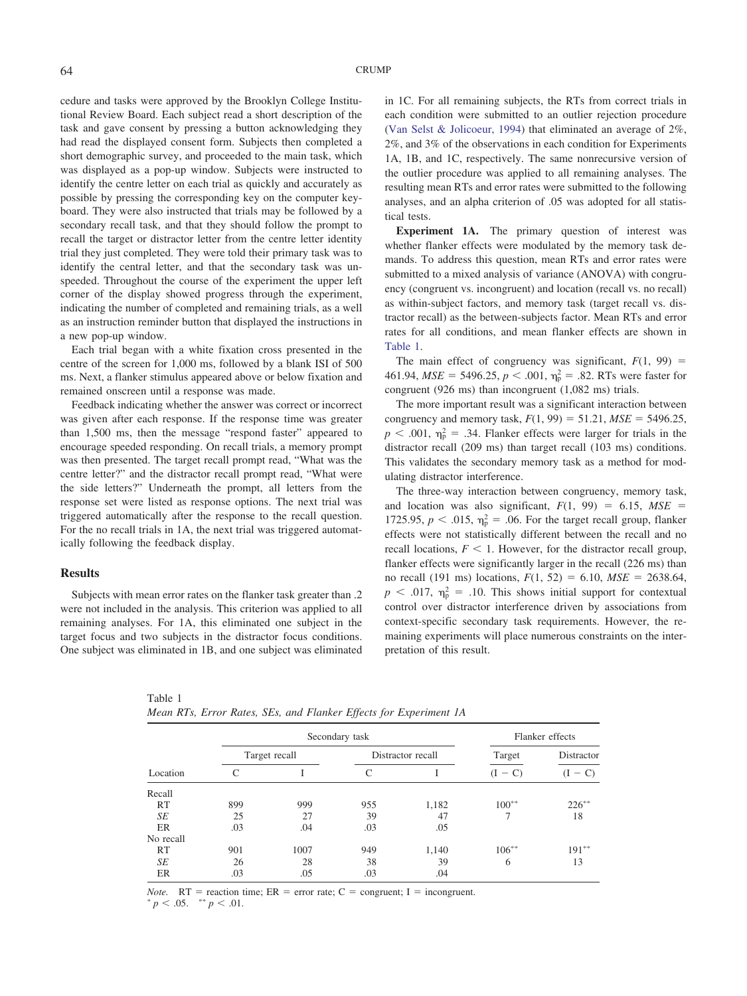cedure and tasks were approved by the Brooklyn College Institutional Review Board. Each subject read a short description of the task and gave consent by pressing a button acknowledging they had read the displayed consent form. Subjects then completed a short demographic survey, and proceeded to the main task, which was displayed as a pop-up window. Subjects were instructed to identify the centre letter on each trial as quickly and accurately as possible by pressing the corresponding key on the computer keyboard. They were also instructed that trials may be followed by a secondary recall task, and that they should follow the prompt to recall the target or distractor letter from the centre letter identity trial they just completed. They were told their primary task was to identify the central letter, and that the secondary task was unspeeded. Throughout the course of the experiment the upper left corner of the display showed progress through the experiment, indicating the number of completed and remaining trials, as a well as an instruction reminder button that displayed the instructions in a new pop-up window.

Each trial began with a white fixation cross presented in the centre of the screen for 1,000 ms, followed by a blank ISI of 500 ms. Next, a flanker stimulus appeared above or below fixation and remained onscreen until a response was made.

Feedback indicating whether the answer was correct or incorrect was given after each response. If the response time was greater than 1,500 ms, then the message "respond faster" appeared to encourage speeded responding. On recall trials, a memory prompt was then presented. The target recall prompt read, "What was the centre letter?" and the distractor recall prompt read, "What were the side letters?" Underneath the prompt, all letters from the response set were listed as response options. The next trial was triggered automatically after the response to the recall question. For the no recall trials in 1A, the next trial was triggered automatically following the feedback display.

#### **Results**

Subjects with mean error rates on the flanker task greater than .2 were not included in the analysis. This criterion was applied to all remaining analyses. For 1A, this eliminated one subject in the target focus and two subjects in the distractor focus conditions. One subject was eliminated in 1B, and one subject was eliminated in 1C. For all remaining subjects, the RTs from correct trials in each condition were submitted to an outlier rejection procedure [\(Van Selst & Jolicoeur, 1994\)](#page-17-19) that eliminated an average of 2%, 2%, and 3% of the observations in each condition for Experiments 1A, 1B, and 1C, respectively. The same nonrecursive version of the outlier procedure was applied to all remaining analyses. The resulting mean RTs and error rates were submitted to the following analyses, and an alpha criterion of .05 was adopted for all statistical tests.

**Experiment 1A.** The primary question of interest was whether flanker effects were modulated by the memory task demands. To address this question, mean RTs and error rates were submitted to a mixed analysis of variance (ANOVA) with congruency (congruent vs. incongruent) and location (recall vs. no recall) as within-subject factors, and memory task (target recall vs. distractor recall) as the between-subjects factor. Mean RTs and error rates for all conditions, and mean flanker effects are shown in [Table 1.](#page-5-0)

The main effect of congruency was significant,  $F(1, 99)$  =  $461.94, MSE = 5496.25, p < .001, \eta_p^2 = .82$ . RTs were faster for congruent (926 ms) than incongruent (1,082 ms) trials.

The more important result was a significant interaction between congruency and memory task,  $F(1, 99) = 51.21$ ,  $MSE = 5496.25$ ,  $p < .001$ ,  $\eta_p^2 = .34$ . Flanker effects were larger for trials in the distractor recall (209 ms) than target recall (103 ms) conditions. This validates the secondary memory task as a method for modulating distractor interference.

The three-way interaction between congruency, memory task, and location was also significant,  $F(1, 99) = 6.15$ ,  $MSE =$ 1725.95,  $p < .015$ ,  $\eta_p^2 = .06$ . For the target recall group, flanker effects were not statistically different between the recall and no recall locations,  $F < 1$ . However, for the distractor recall group, flanker effects were significantly larger in the recall (226 ms) than no recall (191 ms) locations,  $F(1, 52) = 6.10$ ,  $MSE = 2638.64$ ,  $p$  < .017,  $\eta_{\rm p}^2$  = .10. This shows initial support for contextual control over distractor interference driven by associations from context-specific secondary task requirements. However, the remaining experiments will place numerous constraints on the interpretation of this result.

 $191**$ 

|           |     | Secondary task |     | Flanker effects   |            |            |  |
|-----------|-----|----------------|-----|-------------------|------------|------------|--|
| Location  |     | Target recall  |     | Distractor recall | Target     | Distractor |  |
|           |     |                |     |                   | $(I - C)$  | $(I - C)$  |  |
| Recall    |     |                |     |                   |            |            |  |
| RT        | 899 | 999            | 955 | 1,182             | $100^{**}$ | $226***$   |  |
| SE        | 25  | 27             | 39  | 47                |            | 18         |  |
| ER        | .03 | .04            | .03 | .05               |            |            |  |
| No recall |     |                |     |                   |            |            |  |
| RT        | 901 | 1007           | 949 | 1.140             | $106***$   | $191***$   |  |

*SE* 26 28 38 39 6 13

RT 901 1007 949 1,140 106<sup>\*</sup>

<span id="page-5-0"></span>Table 1 *Mean RTs, Error Rates, SEs, and Flanker Effects for Experiment 1A*

*Note.*  $RT$  = reaction time;  $ER$  = error rate;  $C$  = congruent; I = incongruent.

ER .03 .05 .03 .04

 $p < .05.$  \*\*  $p < .01.$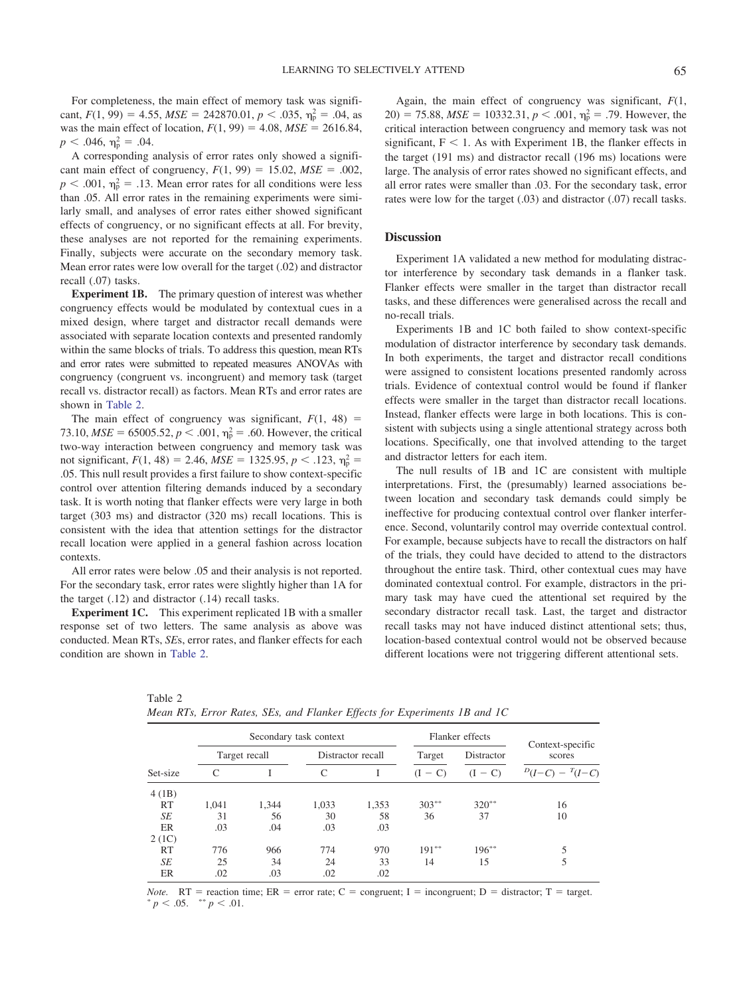For completeness, the main effect of memory task was significant,  $F(1, 99) = 4.55$ ,  $MSE = 242870.01$ ,  $p < .035$ ,  $\eta_p^2 = .04$ , as was the main effect of location,  $F(1, 99) = 4.08$ ,  $MSE = 2616.84$ ,  $p < .046$ ,  $\eta_p^2 = .04$ .

A corresponding analysis of error rates only showed a significant main effect of congruency,  $F(1, 99) = 15.02$ ,  $MSE = .002$ ,  $p < .001$ ,  $\eta_p^2 = .13$ . Mean error rates for all conditions were less than .05. All error rates in the remaining experiments were similarly small, and analyses of error rates either showed significant effects of congruency, or no significant effects at all. For brevity, these analyses are not reported for the remaining experiments. Finally, subjects were accurate on the secondary memory task. Mean error rates were low overall for the target (.02) and distractor recall (.07) tasks.

**Experiment 1B.** The primary question of interest was whether congruency effects would be modulated by contextual cues in a mixed design, where target and distractor recall demands were associated with separate location contexts and presented randomly within the same blocks of trials. To address this question, mean RTs and error rates were submitted to repeated measures ANOVAs with congruency (congruent vs. incongruent) and memory task (target recall vs. distractor recall) as factors. Mean RTs and error rates are shown in [Table 2.](#page-6-0)

The main effect of congruency was significant,  $F(1, 48)$  = 73.10,  $MSE = 65005.52$ ,  $p < .001$ ,  $\eta_p^2 = .60$ . However, the critical two-way interaction between congruency and memory task was not significant,  $F(1, 48) = 2.46$ ,  $MSE = 1325.95$ ,  $p < .123$ ,  $\eta_p^2 =$ .05. This null result provides a first failure to show context-specific control over attention filtering demands induced by a secondary task. It is worth noting that flanker effects were very large in both target (303 ms) and distractor (320 ms) recall locations. This is consistent with the idea that attention settings for the distractor recall location were applied in a general fashion across location contexts.

All error rates were below .05 and their analysis is not reported. For the secondary task, error rates were slightly higher than 1A for the target (.12) and distractor (.14) recall tasks.

**Experiment 1C.** This experiment replicated 1B with a smaller response set of two letters. The same analysis as above was conducted. Mean RTs, *SE*s, error rates, and flanker effects for each condition are shown in [Table 2.](#page-6-0)

<span id="page-6-0"></span>Table 2

 $\frac{2 (1C)}{RT}$ 

Again, the main effect of congruency was significant, *F*(1,  $20$ ) = 75.88, *MSE* = 10332.31, *p* < .001,  $\eta_p^2$  = .79. However, the critical interaction between congruency and memory task was not significant,  $F < 1$ . As with Experiment 1B, the flanker effects in the target (191 ms) and distractor recall (196 ms) locations were large. The analysis of error rates showed no significant effects, and all error rates were smaller than .03. For the secondary task, error rates were low for the target (.03) and distractor (.07) recall tasks.

#### **Discussion**

Experiment 1A validated a new method for modulating distractor interference by secondary task demands in a flanker task. Flanker effects were smaller in the target than distractor recall tasks, and these differences were generalised across the recall and no-recall trials.

Experiments 1B and 1C both failed to show context-specific modulation of distractor interference by secondary task demands. In both experiments, the target and distractor recall conditions were assigned to consistent locations presented randomly across trials. Evidence of contextual control would be found if flanker effects were smaller in the target than distractor recall locations. Instead, flanker effects were large in both locations. This is consistent with subjects using a single attentional strategy across both locations. Specifically, one that involved attending to the target and distractor letters for each item.

The null results of 1B and 1C are consistent with multiple interpretations. First, the (presumably) learned associations between location and secondary task demands could simply be ineffective for producing contextual control over flanker interference. Second, voluntarily control may override contextual control. For example, because subjects have to recall the distractors on half of the trials, they could have decided to attend to the distractors throughout the entire task. Third, other contextual cues may have dominated contextual control. For example, distractors in the primary task may have cued the attentional set required by the secondary distractor recall task. Last, the target and distractor recall tasks may not have induced distinct attentional sets; thus, location-based contextual control would not be observed because different locations were not triggering different attentional sets.

 $T(I-C)$ 

 $5\overline{5}$ 

| Set-size |       |               | Secondary task context |                   |           | Flanker effects |                            |  |
|----------|-------|---------------|------------------------|-------------------|-----------|-----------------|----------------------------|--|
|          |       | Target recall |                        | Distractor recall |           | Distractor      | Context-specific<br>scores |  |
|          |       |               |                        |                   | $(I - C)$ | $(I - C)$       | $D(I-C) - T(I-C)$          |  |
| 4(1B)    |       |               |                        |                   |           |                 |                            |  |
| RT       | 1.041 | 1.344         | 1.033                  | 1.353             | $303***$  | $320**$         | 16                         |  |
| SЕ       | 31    | 56            | 30                     | 58                | 36        | 37              | 10                         |  |

| -------- |  |  |  |  |                                                                           |  |  |
|----------|--|--|--|--|---------------------------------------------------------------------------|--|--|
|          |  |  |  |  | Mean RTs, Error Rates, SEs, and Flanker Effects for Experiments 1B and 1C |  |  |

ER .03 .04 .03 .03

ER .02 .03 .02 .02

RT 776 966 774 970 191<sup>\*</sup>

*Note.*  $RT$  = reaction time;  $ER$  = error rate;  $C$  = congruent; I = incongruent; D = distractor; T = target.  $p < .05.$  \*\*  $p < .01.$ 

*SE* 25 34 24 33 14 15 5

 $191***$ 

\*  $196**$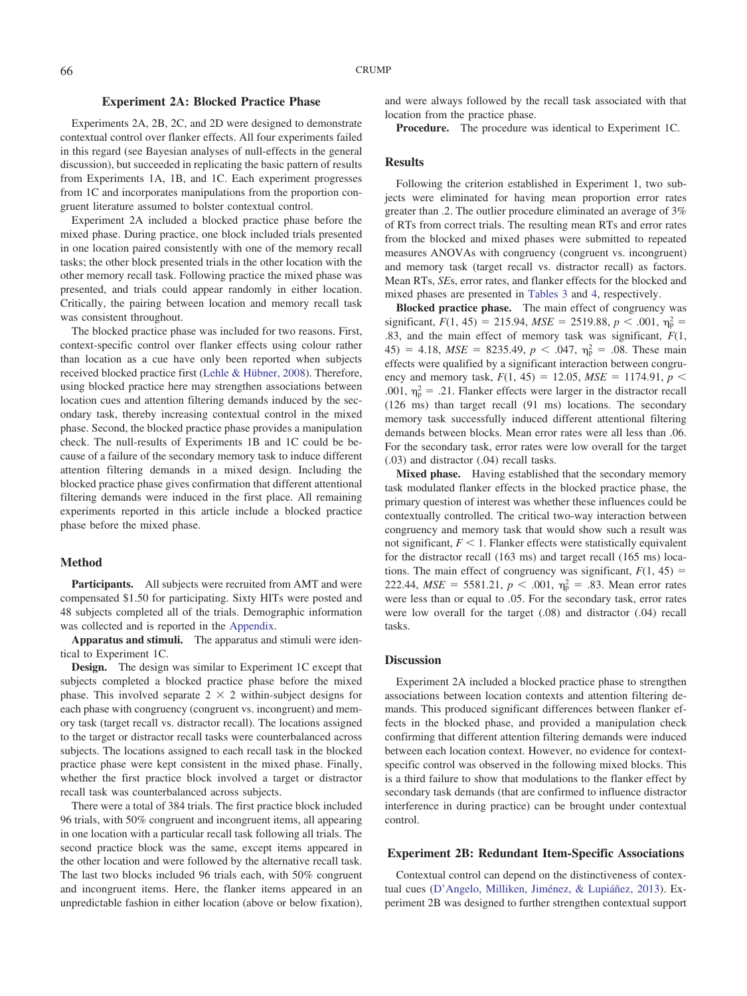# **Experiment 2A: Blocked Practice Phase**

Experiments 2A, 2B, 2C, and 2D were designed to demonstrate contextual control over flanker effects. All four experiments failed in this regard (see Bayesian analyses of null-effects in the general discussion), but succeeded in replicating the basic pattern of results from Experiments 1A, 1B, and 1C. Each experiment progresses from 1C and incorporates manipulations from the proportion congruent literature assumed to bolster contextual control.

Experiment 2A included a blocked practice phase before the mixed phase. During practice, one block included trials presented in one location paired consistently with one of the memory recall tasks; the other block presented trials in the other location with the other memory recall task. Following practice the mixed phase was presented, and trials could appear randomly in either location. Critically, the pairing between location and memory recall task was consistent throughout.

The blocked practice phase was included for two reasons. First, context-specific control over flanker effects using colour rather than location as a cue have only been reported when subjects received blocked practice first [\(Lehle & Hübner, 2008\)](#page-17-20). Therefore, using blocked practice here may strengthen associations between location cues and attention filtering demands induced by the secondary task, thereby increasing contextual control in the mixed phase. Second, the blocked practice phase provides a manipulation check. The null-results of Experiments 1B and 1C could be because of a failure of the secondary memory task to induce different attention filtering demands in a mixed design. Including the blocked practice phase gives confirmation that different attentional filtering demands were induced in the first place. All remaining experiments reported in this article include a blocked practice phase before the mixed phase.

## **Method**

Participants. All subjects were recruited from AMT and were compensated \$1.50 for participating. Sixty HITs were posted and 48 subjects completed all of the trials. Demographic information was collected and is reported in the [Appendix.](#page-18-0)

**Apparatus and stimuli.** The apparatus and stimuli were identical to Experiment 1C.

**Design.** The design was similar to Experiment 1C except that subjects completed a blocked practice phase before the mixed phase. This involved separate  $2 \times 2$  within-subject designs for each phase with congruency (congruent vs. incongruent) and memory task (target recall vs. distractor recall). The locations assigned to the target or distractor recall tasks were counterbalanced across subjects. The locations assigned to each recall task in the blocked practice phase were kept consistent in the mixed phase. Finally, whether the first practice block involved a target or distractor recall task was counterbalanced across subjects.

There were a total of 384 trials. The first practice block included 96 trials, with 50% congruent and incongruent items, all appearing in one location with a particular recall task following all trials. The second practice block was the same, except items appeared in the other location and were followed by the alternative recall task. The last two blocks included 96 trials each, with 50% congruent and incongruent items. Here, the flanker items appeared in an unpredictable fashion in either location (above or below fixation),

and were always followed by the recall task associated with that location from the practice phase.

**Procedure.** The procedure was identical to Experiment 1C.

### **Results**

Following the criterion established in Experiment 1, two subjects were eliminated for having mean proportion error rates greater than .2. The outlier procedure eliminated an average of 3% of RTs from correct trials. The resulting mean RTs and error rates from the blocked and mixed phases were submitted to repeated measures ANOVAs with congruency (congruent vs. incongruent) and memory task (target recall vs. distractor recall) as factors. Mean RTs, *SE*s, error rates, and flanker effects for the blocked and mixed phases are presented in [Tables 3](#page-8-0) and [4,](#page-8-1) respectively.

**Blocked practice phase.** The main effect of congruency was significant,  $F(1, 45) = 215.94$ ,  $MSE = 2519.88$ ,  $p < .001$ ,  $\eta_p^2 =$ .83, and the main effect of memory task was significant, *F*(1,  $45) = 4.18$ ,  $MSE = 8235.49$ ,  $p < .047$ ,  $\eta_p^2 = .08$ . These main effects were qualified by a significant interaction between congruency and memory task,  $F(1, 45) = 12.05$ ,  $MSE = 1174.91$ ,  $p <$ .001,  $\eta_{\rm p}^2$  = .21. Flanker effects were larger in the distractor recall (126 ms) than target recall (91 ms) locations. The secondary memory task successfully induced different attentional filtering demands between blocks. Mean error rates were all less than .06. For the secondary task, error rates were low overall for the target (.03) and distractor (.04) recall tasks.

**Mixed phase.** Having established that the secondary memory task modulated flanker effects in the blocked practice phase, the primary question of interest was whether these influences could be contextually controlled. The critical two-way interaction between congruency and memory task that would show such a result was not significant,  $F < 1$ . Flanker effects were statistically equivalent for the distractor recall (163 ms) and target recall (165 ms) locations. The main effect of congruency was significant,  $F(1, 45) =$ 222.44,  $MSE = 5581.21$ ,  $p < .001$ ,  $\eta_p^2 = .83$ . Mean error rates were less than or equal to .05. For the secondary task, error rates were low overall for the target (.08) and distractor (.04) recall tasks.

#### **Discussion**

Experiment 2A included a blocked practice phase to strengthen associations between location contexts and attention filtering demands. This produced significant differences between flanker effects in the blocked phase, and provided a manipulation check confirming that different attention filtering demands were induced between each location context. However, no evidence for contextspecific control was observed in the following mixed blocks. This is a third failure to show that modulations to the flanker effect by secondary task demands (that are confirmed to influence distractor interference in during practice) can be brought under contextual control.

#### **Experiment 2B: Redundant Item-Specific Associations**

Contextual control can depend on the distinctiveness of contextual cues [\(D'Angelo, Milliken, Jiménez, & Lupiáñez, 2013\)](#page-16-24). Experiment 2B was designed to further strengthen contextual support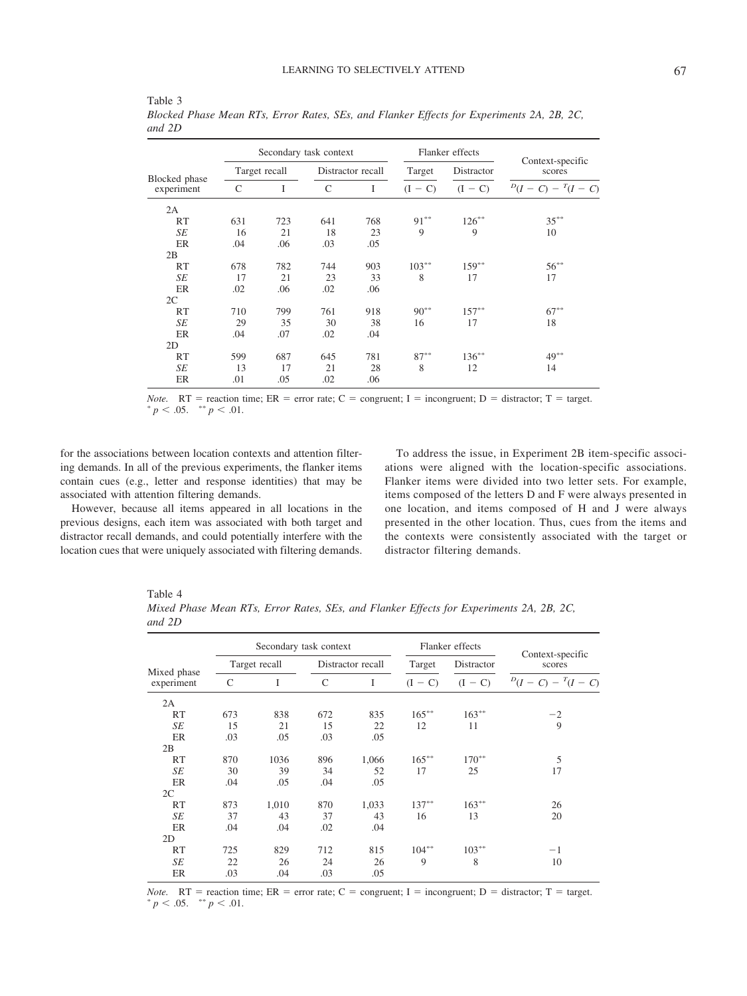|                             |     |               | Secondary task context |                   |           | Flanker effects |                            |  |
|-----------------------------|-----|---------------|------------------------|-------------------|-----------|-----------------|----------------------------|--|
| Blocked phase<br>experiment |     | Target recall |                        | Distractor recall |           | Distractor      | Context-specific<br>scores |  |
|                             | C   | I             | $\mathcal{C}$          | L                 | $(I - C)$ | $(I - C)$       | $D(I - C) - T(I - C)$      |  |
| 2A                          |     |               |                        |                   |           |                 |                            |  |
| RT                          | 631 | 723           | 641                    | 768               | $91***$   | $126***$        | $35***$                    |  |
| SE                          | 16  | 21            | 18                     | 23                | 9         | 9               | 10                         |  |
| ER                          | .04 | .06           | .03                    | .05               |           |                 |                            |  |
| 2B                          |     |               |                        |                   |           |                 |                            |  |
| <b>RT</b>                   | 678 | 782           | 744                    | 903               | $103***$  | $159***$        | $56^{**}$                  |  |
| SE                          | 17  | 21            | 23                     | 33                | 8         | 17              | 17                         |  |
| ER                          | .02 | .06           | .02                    | .06               |           |                 |                            |  |
| 2C                          |     |               |                        |                   |           |                 |                            |  |
| RT                          | 710 | 799           | 761                    | 918               | $90^{**}$ | $157***$        | $67***$                    |  |
| SE                          | 29  | 35            | 30                     | 38                | 16        | 17              | 18                         |  |
| <b>ER</b>                   | .04 | .07           | .02                    | .04               |           |                 |                            |  |
| 2D                          |     |               |                        |                   |           |                 |                            |  |
| RT                          | 599 | 687           | 645                    | 781               | $87***$   | $136***$        | $49***$                    |  |
| SE                          | 13  | 17            | 21                     | 28                | 8         | 12              | 14                         |  |
| ER                          | .01 | .05           | .02                    | .06               |           |                 |                            |  |

<span id="page-8-0"></span>Table 3 *Blocked Phase Mean RTs, Error Rates, SEs, and Flanker Effects for Experiments 2A, 2B, 2C, and 2D*

*Note.*  $RT$  = reaction time;  $ER$  = error rate;  $C$  = congruent; I = incongruent; D = distractor; T = target.  $p < .05.$  \*\*  $p < .01.$ 

for the associations between location contexts and attention filtering demands. In all of the previous experiments, the flanker items contain cues (e.g., letter and response identities) that may be associated with attention filtering demands.

However, because all items appeared in all locations in the previous designs, each item was associated with both target and distractor recall demands, and could potentially interfere with the location cues that were uniquely associated with filtering demands.

To address the issue, in Experiment 2B item-specific associations were aligned with the location-specific associations. Flanker items were divided into two letter sets. For example, items composed of the letters D and F were always presented in one location, and items composed of H and J were always presented in the other location. Thus, cues from the items and the contexts were consistently associated with the target or distractor filtering demands.

<span id="page-8-1"></span>

| ۰, |  |
|----|--|
|----|--|

*Mixed Phase Mean RTs, Error Rates, SEs, and Flanker Effects for Experiments 2A, 2B, 2C, and 2D*

|                           |     | Secondary task context |              |                   |           | Flanker effects |                            |  |
|---------------------------|-----|------------------------|--------------|-------------------|-----------|-----------------|----------------------------|--|
|                           |     | Target recall          |              | Distractor recall |           | Distractor      | Context-specific<br>scores |  |
| Mixed phase<br>experiment | C   | I                      | $\mathsf{C}$ | I                 | $(I - C)$ | $(I - C)$       | $D(I - C) - T(I - C)$      |  |
| 2A                        |     |                        |              |                   |           |                 |                            |  |
| <b>RT</b>                 | 673 | 838                    | 672          | 835               | $165***$  | $163***$        | $-2$                       |  |
| SE                        | 15  | 21                     | 15           | 22                | 12        | 11              | 9                          |  |
| ER                        | .03 | .05                    | .03          | .05               |           |                 |                            |  |
| 2B                        |     |                        |              |                   |           |                 |                            |  |
| <b>RT</b>                 | 870 | 1036                   | 896          | 1,066             | $165***$  | $170^{**}$      | 5                          |  |
| SE                        | 30  | 39                     | 34           | 52                | 17        | 25              | 17                         |  |
| ER                        | .04 | .05                    | .04          | .05               |           |                 |                            |  |
| 2C                        |     |                        |              |                   |           |                 |                            |  |
| RT                        | 873 | 1,010                  | 870          | 1,033             | $137***$  | $163***$        | 26                         |  |
| SE                        | 37  | 43                     | 37           | 43                | 16        | 13              | 20                         |  |
| ER                        | .04 | .04                    | .02          | .04               |           |                 |                            |  |
| 2D                        |     |                        |              |                   |           |                 |                            |  |
| RT                        | 725 | 829                    | 712          | 815               | $104**$   | $103***$        | $-1$                       |  |
| SE                        | 22  | 26                     | 24           | 26                | 9         | 8               | 10                         |  |
| ER                        | .03 | .04                    | .03          | .05               |           |                 |                            |  |

*Note.* RT = reaction time; ER = error rate; C = congruent; I = incongruent; D = distractor; T = target.  $p < .05.$  \*\*  $p < .01.$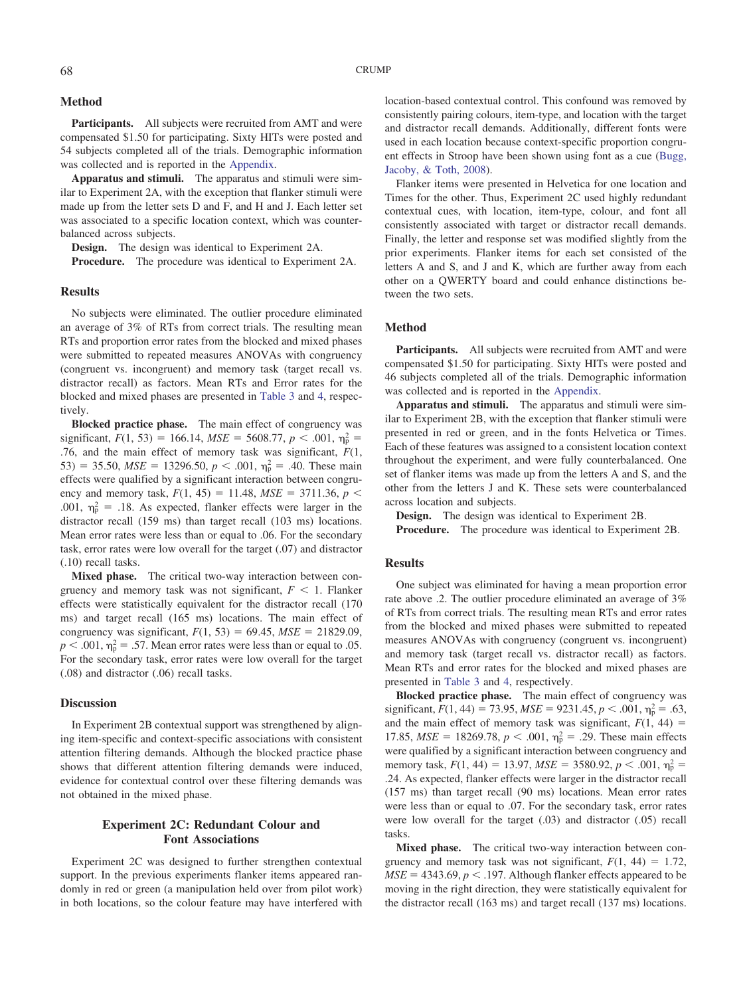# **Method**

Participants. All subjects were recruited from AMT and were compensated \$1.50 for participating. Sixty HITs were posted and 54 subjects completed all of the trials. Demographic information was collected and is reported in the [Appendix.](#page-18-0)

**Apparatus and stimuli.** The apparatus and stimuli were similar to Experiment 2A, with the exception that flanker stimuli were made up from the letter sets D and F, and H and J. Each letter set was associated to a specific location context, which was counterbalanced across subjects.

**Design.** The design was identical to Experiment 2A.

**Procedure.** The procedure was identical to Experiment 2A.

### **Results**

No subjects were eliminated. The outlier procedure eliminated an average of 3% of RTs from correct trials. The resulting mean RTs and proportion error rates from the blocked and mixed phases were submitted to repeated measures ANOVAs with congruency (congruent vs. incongruent) and memory task (target recall vs. distractor recall) as factors. Mean RTs and Error rates for the blocked and mixed phases are presented in [Table 3](#page-8-0) and [4,](#page-8-1) respectively.

**Blocked practice phase.** The main effect of congruency was significant,  $F(1, 53) = 166.14$ ,  $MSE = 5608.77$ ,  $p < .001$ ,  $\eta_p^2 =$ .76, and the main effect of memory task was significant, *F*(1, 53) = 35.50,  $MSE = 13296.50, p < .001, \eta_p^2 = .40$ . These main effects were qualified by a significant interaction between congruency and memory task,  $F(1, 45) = 11.48$ ,  $MSE = 3711.36$ ,  $p <$ .001,  $\eta_p^2 = .18$ . As expected, flanker effects were larger in the distractor recall (159 ms) than target recall (103 ms) locations. Mean error rates were less than or equal to .06. For the secondary task, error rates were low overall for the target (.07) and distractor (.10) recall tasks.

**Mixed phase.** The critical two-way interaction between congruency and memory task was not significant,  $F < 1$ . Flanker effects were statistically equivalent for the distractor recall (170 ms) and target recall (165 ms) locations. The main effect of congruency was significant,  $F(1, 53) = 69.45$ ,  $MSE = 21829.09$ ,  $p < .001$ ,  $\eta_p^2 = .57$ . Mean error rates were less than or equal to .05. For the secondary task, error rates were low overall for the target (.08) and distractor (.06) recall tasks.

## **Discussion**

In Experiment 2B contextual support was strengthened by aligning item-specific and context-specific associations with consistent attention filtering demands. Although the blocked practice phase shows that different attention filtering demands were induced, evidence for contextual control over these filtering demands was not obtained in the mixed phase.

# **Experiment 2C: Redundant Colour and Font Associations**

Experiment 2C was designed to further strengthen contextual support. In the previous experiments flanker items appeared randomly in red or green (a manipulation held over from pilot work) in both locations, so the colour feature may have interfered with

Flanker items were presented in Helvetica for one location and Times for the other. Thus, Experiment 2C used highly redundant contextual cues, with location, item-type, colour, and font all consistently associated with target or distractor recall demands. Finally, the letter and response set was modified slightly from the prior experiments. Flanker items for each set consisted of the letters A and S, and J and K, which are further away from each other on a QWERTY board and could enhance distinctions between the two sets.

#### **Method**

Participants. All subjects were recruited from AMT and were compensated \$1.50 for participating. Sixty HITs were posted and 46 subjects completed all of the trials. Demographic information was collected and is reported in the [Appendix.](#page-18-0)

**Apparatus and stimuli.** The apparatus and stimuli were similar to Experiment 2B, with the exception that flanker stimuli were presented in red or green, and in the fonts Helvetica or Times. Each of these features was assigned to a consistent location context throughout the experiment, and were fully counterbalanced. One set of flanker items was made up from the letters A and S, and the other from the letters J and K. These sets were counterbalanced across location and subjects.

**Design.** The design was identical to Experiment 2B.

**Procedure.** The procedure was identical to Experiment 2B.

#### **Results**

One subject was eliminated for having a mean proportion error rate above .2. The outlier procedure eliminated an average of 3% of RTs from correct trials. The resulting mean RTs and error rates from the blocked and mixed phases were submitted to repeated measures ANOVAs with congruency (congruent vs. incongruent) and memory task (target recall vs. distractor recall) as factors. Mean RTs and error rates for the blocked and mixed phases are presented in [Table 3](#page-8-0) and [4,](#page-8-1) respectively.

**Blocked practice phase.** The main effect of congruency was significant,  $F(1, 44) = 73.95$ ,  $MSE = 9231.45$ ,  $p < .001$ ,  $\eta_p^2 = .63$ , and the main effect of memory task was significant,  $F(1, 44) =$ 17.85,  $MSE = 18269.78$ ,  $p < .001$ ,  $\eta_p^2 = .29$ . These main effects were qualified by a significant interaction between congruency and memory task,  $F(1, 44) = 13.97$ ,  $MSE = 3580.92$ ,  $p < .001$ ,  $\eta_p^2 =$ .24. As expected, flanker effects were larger in the distractor recall (157 ms) than target recall (90 ms) locations. Mean error rates were less than or equal to .07. For the secondary task, error rates were low overall for the target (.03) and distractor (.05) recall tasks.

**Mixed phase.** The critical two-way interaction between congruency and memory task was not significant,  $F(1, 44) = 1.72$ ,  $MSE = 4343.69, p < .197$ . Although flanker effects appeared to be moving in the right direction, they were statistically equivalent for the distractor recall (163 ms) and target recall (137 ms) locations.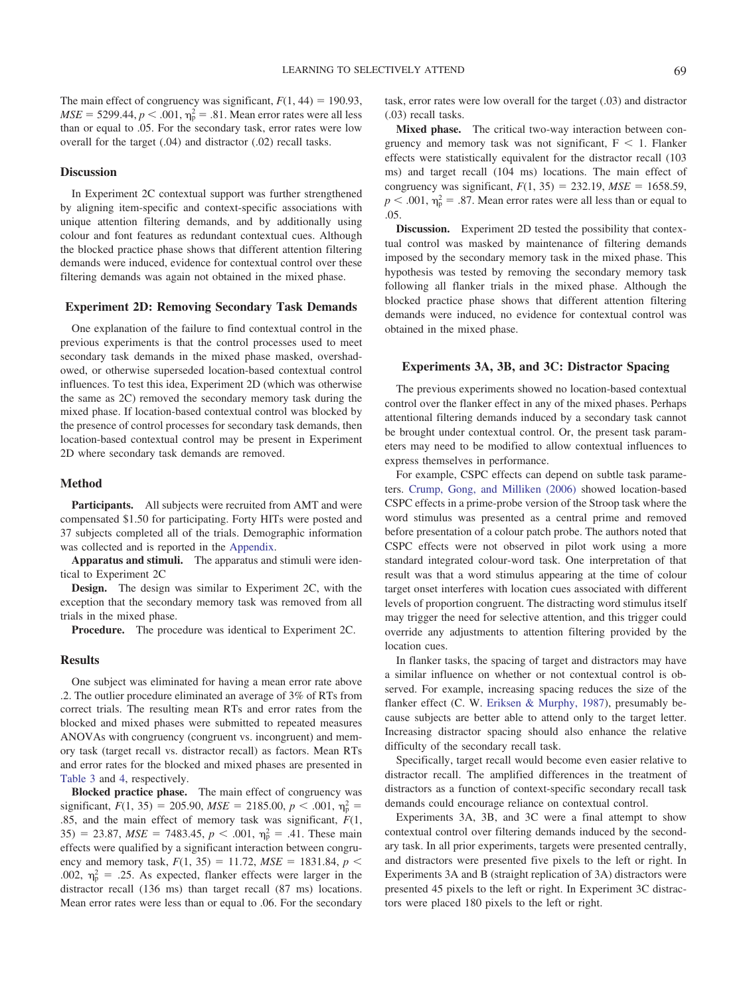The main effect of congruency was significant,  $F(1, 44) = 190.93$ ,  $MSE = 5299.44, p < .001, \eta_p^2 = .81$ . Mean error rates were all less than or equal to .05. For the secondary task, error rates were low overall for the target (.04) and distractor (.02) recall tasks.

# **Discussion**

In Experiment 2C contextual support was further strengthened by aligning item-specific and context-specific associations with unique attention filtering demands, and by additionally using colour and font features as redundant contextual cues. Although the blocked practice phase shows that different attention filtering demands were induced, evidence for contextual control over these filtering demands was again not obtained in the mixed phase.

#### **Experiment 2D: Removing Secondary Task Demands**

One explanation of the failure to find contextual control in the previous experiments is that the control processes used to meet secondary task demands in the mixed phase masked, overshadowed, or otherwise superseded location-based contextual control influences. To test this idea, Experiment 2D (which was otherwise the same as 2C) removed the secondary memory task during the mixed phase. If location-based contextual control was blocked by the presence of control processes for secondary task demands, then location-based contextual control may be present in Experiment 2D where secondary task demands are removed.

# **Method**

Participants. All subjects were recruited from AMT and were compensated \$1.50 for participating. Forty HITs were posted and 37 subjects completed all of the trials. Demographic information was collected and is reported in the [Appendix.](#page-18-0)

**Apparatus and stimuli.** The apparatus and stimuli were identical to Experiment 2C

**Design.** The design was similar to Experiment 2C, with the exception that the secondary memory task was removed from all trials in the mixed phase.

**Procedure.** The procedure was identical to Experiment 2C.

#### **Results**

One subject was eliminated for having a mean error rate above .2. The outlier procedure eliminated an average of 3% of RTs from correct trials. The resulting mean RTs and error rates from the blocked and mixed phases were submitted to repeated measures ANOVAs with congruency (congruent vs. incongruent) and memory task (target recall vs. distractor recall) as factors. Mean RTs and error rates for the blocked and mixed phases are presented in [Table 3](#page-8-0) and [4,](#page-8-1) respectively.

**Blocked practice phase.** The main effect of congruency was significant,  $F(1, 35) = 205.90$ ,  $MSE = 2185.00$ ,  $p < .001$ ,  $\eta_p^2 =$ .85, and the main effect of memory task was significant, *F*(1,  $35) = 23.87$ ,  $MSE = 7483.45$ ,  $p < .001$ ,  $\eta_{p}^{2} = .41$ . These main effects were qualified by a significant interaction between congruency and memory task,  $F(1, 35) = 11.72$ ,  $MSE = 1831.84$ ,  $p <$ .002,  $\eta_{\rm p}^2$  = .25. As expected, flanker effects were larger in the distractor recall (136 ms) than target recall (87 ms) locations. Mean error rates were less than or equal to .06. For the secondary

task, error rates were low overall for the target (.03) and distractor (.03) recall tasks.

**Mixed phase.** The critical two-way interaction between congruency and memory task was not significant,  $F < 1$ . Flanker effects were statistically equivalent for the distractor recall (103 ms) and target recall (104 ms) locations. The main effect of congruency was significant,  $F(1, 35) = 232.19$ ,  $MSE = 1658.59$ ,  $p < .001$ ,  $\eta_p^2 = .87$ . Mean error rates were all less than or equal to .05.

**Discussion.** Experiment 2D tested the possibility that contextual control was masked by maintenance of filtering demands imposed by the secondary memory task in the mixed phase. This hypothesis was tested by removing the secondary memory task following all flanker trials in the mixed phase. Although the blocked practice phase shows that different attention filtering demands were induced, no evidence for contextual control was obtained in the mixed phase.

# **Experiments 3A, 3B, and 3C: Distractor Spacing**

The previous experiments showed no location-based contextual control over the flanker effect in any of the mixed phases. Perhaps attentional filtering demands induced by a secondary task cannot be brought under contextual control. Or, the present task parameters may need to be modified to allow contextual influences to express themselves in performance.

For example, CSPC effects can depend on subtle task parameters. [Crump, Gong, and Milliken \(2006\)](#page-16-16) showed location-based CSPC effects in a prime-probe version of the Stroop task where the word stimulus was presented as a central prime and removed before presentation of a colour patch probe. The authors noted that CSPC effects were not observed in pilot work using a more standard integrated colour-word task. One interpretation of that result was that a word stimulus appearing at the time of colour target onset interferes with location cues associated with different levels of proportion congruent. The distracting word stimulus itself may trigger the need for selective attention, and this trigger could override any adjustments to attention filtering provided by the location cues.

In flanker tasks, the spacing of target and distractors may have a similar influence on whether or not contextual control is observed. For example, increasing spacing reduces the size of the flanker effect (C. W. [Eriksen & Murphy, 1987\)](#page-16-25), presumably because subjects are better able to attend only to the target letter. Increasing distractor spacing should also enhance the relative difficulty of the secondary recall task.

Specifically, target recall would become even easier relative to distractor recall. The amplified differences in the treatment of distractors as a function of context-specific secondary recall task demands could encourage reliance on contextual control.

Experiments 3A, 3B, and 3C were a final attempt to show contextual control over filtering demands induced by the secondary task. In all prior experiments, targets were presented centrally, and distractors were presented five pixels to the left or right. In Experiments 3A and B (straight replication of 3A) distractors were presented 45 pixels to the left or right. In Experiment 3C distractors were placed 180 pixels to the left or right.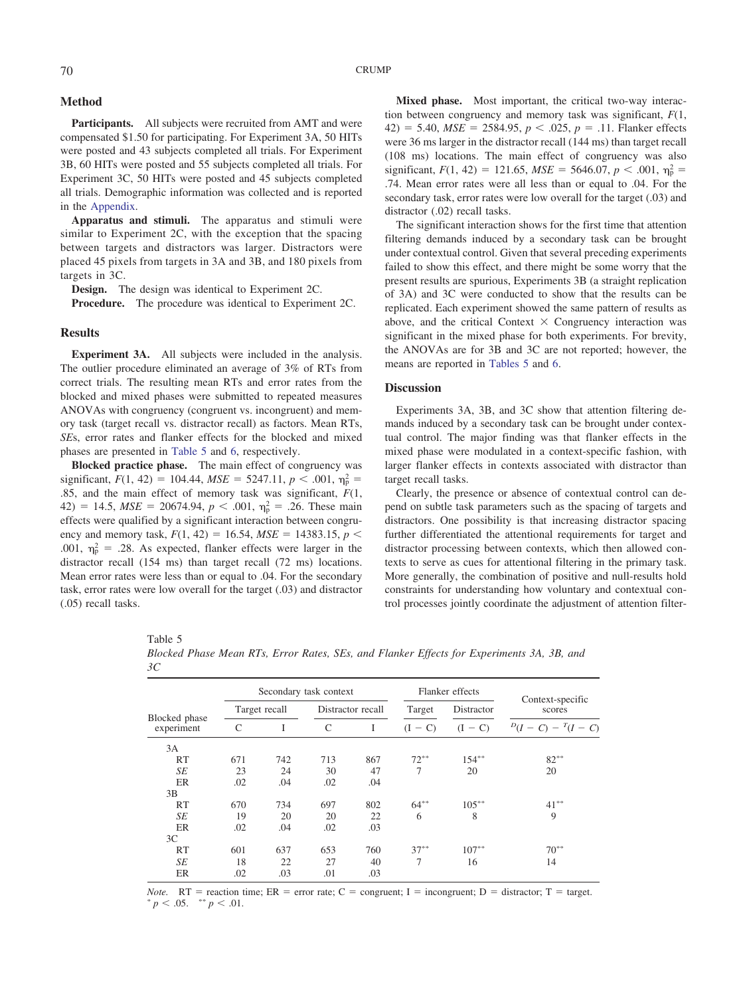# **Method**

Participants. All subjects were recruited from AMT and were compensated \$1.50 for participating. For Experiment 3A, 50 HITs were posted and 43 subjects completed all trials. For Experiment 3B, 60 HITs were posted and 55 subjects completed all trials. For Experiment 3C, 50 HITs were posted and 45 subjects completed all trials. Demographic information was collected and is reported in the [Appendix.](#page-18-0)

**Apparatus and stimuli.** The apparatus and stimuli were similar to Experiment 2C, with the exception that the spacing between targets and distractors was larger. Distractors were placed 45 pixels from targets in 3A and 3B, and 180 pixels from targets in 3C.

**Design.** The design was identical to Experiment 2C.

**Procedure.** The procedure was identical to Experiment 2C.

# **Results**

**Experiment 3A.** All subjects were included in the analysis. The outlier procedure eliminated an average of 3% of RTs from correct trials. The resulting mean RTs and error rates from the blocked and mixed phases were submitted to repeated measures ANOVAs with congruency (congruent vs. incongruent) and memory task (target recall vs. distractor recall) as factors. Mean RTs, *SE*s, error rates and flanker effects for the blocked and mixed phases are presented in [Table 5](#page-11-0) and [6,](#page-12-0) respectively.

**Blocked practice phase.** The main effect of congruency was significant,  $F(1, 42) = 104.44$ ,  $MSE = 5247.11$ ,  $p < .001$ ,  $\eta_p^2 =$ .85, and the main effect of memory task was significant, *F*(1,  $42) = 14.5$ ,  $MSE = 20674.94$ ,  $p < .001$ ,  $\eta_p^2 = .26$ . These main effects were qualified by a significant interaction between congruency and memory task,  $F(1, 42) = 16.54$ ,  $MSE = 14383.15$ ,  $p <$ .001,  $\eta_p^2 = .28$ . As expected, flanker effects were larger in the distractor recall (154 ms) than target recall (72 ms) locations. Mean error rates were less than or equal to .04. For the secondary task, error rates were low overall for the target (.03) and distractor (.05) recall tasks.

**Mixed phase.** Most important, the critical two-way interaction between congruency and memory task was significant, *F*(1, 42) = 5.40,  $MSE = 2584.95$ ,  $p < .025$ ,  $p = .11$ . Flanker effects were 36 ms larger in the distractor recall (144 ms) than target recall (108 ms) locations. The main effect of congruency was also significant,  $F(1, 42) = 121.65$ ,  $MSE = 5646.07$ ,  $p < .001$ ,  $\eta_p^2 =$ .74. Mean error rates were all less than or equal to .04. For the secondary task, error rates were low overall for the target (.03) and distractor (.02) recall tasks.

The significant interaction shows for the first time that attention filtering demands induced by a secondary task can be brought under contextual control. Given that several preceding experiments failed to show this effect, and there might be some worry that the present results are spurious, Experiments 3B (a straight replication of 3A) and 3C were conducted to show that the results can be replicated. Each experiment showed the same pattern of results as above, and the critical Context  $\times$  Congruency interaction was significant in the mixed phase for both experiments. For brevity, the ANOVAs are for 3B and 3C are not reported; however, the means are reported in [Tables 5](#page-11-0) and [6.](#page-12-0)

#### **Discussion**

Experiments 3A, 3B, and 3C show that attention filtering demands induced by a secondary task can be brought under contextual control. The major finding was that flanker effects in the mixed phase were modulated in a context-specific fashion, with larger flanker effects in contexts associated with distractor than target recall tasks.

Clearly, the presence or absence of contextual control can depend on subtle task parameters such as the spacing of targets and distractors. One possibility is that increasing distractor spacing further differentiated the attentional requirements for target and distractor processing between contexts, which then allowed contexts to serve as cues for attentional filtering in the primary task. More generally, the combination of positive and null-results hold constraints for understanding how voluntary and contextual control processes jointly coordinate the adjustment of attention filter-

<span id="page-11-0"></span>

| × |  |
|---|--|
|---|--|

| ЗC                          |     |               |                        |                   |           |                 |                       |  |
|-----------------------------|-----|---------------|------------------------|-------------------|-----------|-----------------|-----------------------|--|
|                             |     |               | Secondary task context |                   |           | Flanker effects | Context-specific      |  |
| Blocked phase<br>experiment |     | Target recall |                        | Distractor recall |           | Distractor      | scores                |  |
|                             | C   | I             | $\mathsf{C}$           | I                 | $(I - C)$ | $(I - C)$       | $D(I - C) - T(I - C)$ |  |
| 3A                          |     |               |                        |                   |           |                 |                       |  |
| RT                          | 671 | 742           | 713                    | 867               | $72***$   | $154***$        | $82***$               |  |
| SE                          | 23  | 24            | 30                     | 47                | 7         | 20              | 20                    |  |
| ER                          | .02 | .04           | .02                    | .04               |           |                 |                       |  |
| 3B                          |     |               |                        |                   |           |                 |                       |  |
| RT                          | 670 | 734           | 697                    | 802               | $64***$   | $105***$        | $41***$               |  |
| SE                          | 19  | 20            | 20                     | 22                | 6         | 8               | 9                     |  |
| ER                          | .02 | .04           | .02                    | .03               |           |                 |                       |  |
| 3C                          |     |               |                        |                   |           |                 |                       |  |
| RT                          | 601 | 637           | 653                    | 760               | $37***$   | $107***$        | $70^{**}$             |  |
| SE                          | 18  | 22            | 27                     | 40                |           | 16              | 14                    |  |
| ER                          | .02 | .03           | .01                    | .03               |           |                 |                       |  |
|                             |     |               |                        |                   |           |                 |                       |  |

*Blocked Phase Mean RTs, Error Rates, SEs, and Flanker Effects for Experiments 3A, 3B, and 3C*

*Note.*  $RT$  = reaction time;  $ER$  = error rate;  $C$  = congruent; I = incongruent; D = distractor; T = target.  $p < .05.$  \*\*  $p < .01.$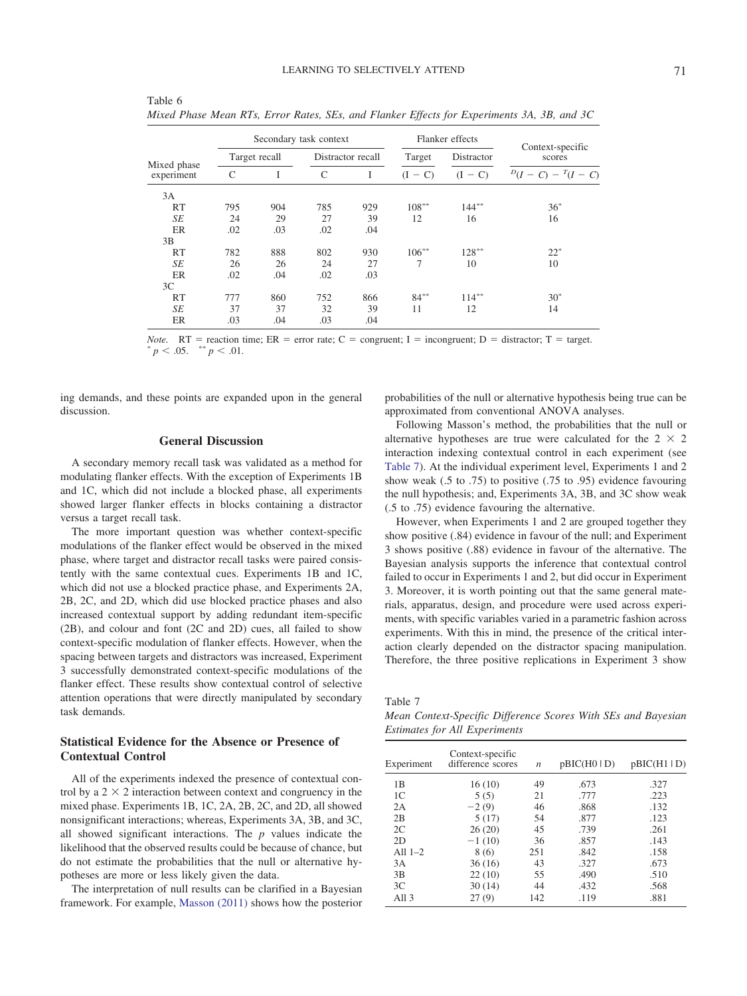|                           |     |               | Secondary task context |     |                     | Flanker effects | Context-specific      |  |
|---------------------------|-----|---------------|------------------------|-----|---------------------|-----------------|-----------------------|--|
| Mixed phase<br>experiment |     | Target recall | Distractor recall      |     | Target              | Distractor      | scores                |  |
|                           | C   | I             | C                      | I   | $- C$<br>$\left($ I | $(I - C)$       | $D(I - C) - T(I - C)$ |  |
| 3A                        |     |               |                        |     |                     |                 |                       |  |
| RT                        | 795 | 904           | 785                    | 929 | $108***$            | $144***$        | $36*$                 |  |
| SE                        | 24  | 29            | 27                     | 39  | 12                  | 16              | 16                    |  |
| ER                        | .02 | .03           | .02                    | .04 |                     |                 |                       |  |
| 3B                        |     |               |                        |     |                     |                 |                       |  |
| RT                        | 782 | 888           | 802                    | 930 | $106***$            | $128***$        | $22*$                 |  |
| SE                        | 26  | 26            | 24                     | 27  | 7                   | 10              | 10                    |  |
| ER                        | .02 | .04           | .02                    | .03 |                     |                 |                       |  |
| 3 <sup>C</sup>            |     |               |                        |     |                     |                 |                       |  |
| RT                        | 777 | 860           | 752                    | 866 | $84***$             | $114***$        | $30*$                 |  |
| SE                        | 37  | 37            | 32                     | 39  | 11                  | 12              | 14                    |  |
| ER                        | .03 | .04           | .03                    | .04 |                     |                 |                       |  |

<span id="page-12-0"></span>Table 6 *Mixed Phase Mean RTs, Error Rates, SEs, and Flanker Effects for Experiments 3A, 3B, and 3C*

*Note.*  $RT$  = reaction time;  $ER$  = error rate;  $C$  = congruent; I = incongruent; D = distractor; T = target.  $p < .05.$  \*\*  $p < .01.$ 

ing demands, and these points are expanded upon in the general discussion.

## **General Discussion**

A secondary memory recall task was validated as a method for modulating flanker effects. With the exception of Experiments 1B and 1C, which did not include a blocked phase, all experiments showed larger flanker effects in blocks containing a distractor versus a target recall task.

The more important question was whether context-specific modulations of the flanker effect would be observed in the mixed phase, where target and distractor recall tasks were paired consistently with the same contextual cues. Experiments 1B and 1C, which did not use a blocked practice phase, and Experiments 2A, 2B, 2C, and 2D, which did use blocked practice phases and also increased contextual support by adding redundant item-specific (2B), and colour and font (2C and 2D) cues, all failed to show context-specific modulation of flanker effects. However, when the spacing between targets and distractors was increased, Experiment 3 successfully demonstrated context-specific modulations of the flanker effect. These results show contextual control of selective attention operations that were directly manipulated by secondary task demands.

# **Statistical Evidence for the Absence or Presence of Contextual Control**

All of the experiments indexed the presence of contextual control by a  $2 \times 2$  interaction between context and congruency in the mixed phase. Experiments 1B, 1C, 2A, 2B, 2C, and 2D, all showed nonsignificant interactions; whereas, Experiments 3A, 3B, and 3C, all showed significant interactions. The *p* values indicate the likelihood that the observed results could be because of chance, but do not estimate the probabilities that the null or alternative hypotheses are more or less likely given the data.

The interpretation of null results can be clarified in a Bayesian framework. For example, [Masson \(2011\)](#page-17-14) shows how the posterior probabilities of the null or alternative hypothesis being true can be approximated from conventional ANOVA analyses.

Following Masson's method, the probabilities that the null or alternative hypotheses are true were calculated for the  $2 \times 2$ interaction indexing contextual control in each experiment (see [Table 7\)](#page-12-1). At the individual experiment level, Experiments 1 and 2 show weak (.5 to .75) to positive (.75 to .95) evidence favouring the null hypothesis; and, Experiments 3A, 3B, and 3C show weak (.5 to .75) evidence favouring the alternative.

However, when Experiments 1 and 2 are grouped together they show positive (.84) evidence in favour of the null; and Experiment 3 shows positive (.88) evidence in favour of the alternative. The Bayesian analysis supports the inference that contextual control failed to occur in Experiments 1 and 2, but did occur in Experiment 3. Moreover, it is worth pointing out that the same general materials, apparatus, design, and procedure were used across experiments, with specific variables varied in a parametric fashion across experiments. With this in mind, the presence of the critical interaction clearly depended on the distractor spacing manipulation. Therefore, the three positive replications in Experiment 3 show

<span id="page-12-1"></span>Table 7

*Mean Context-Specific Difference Scores With SEs and Bayesian Estimates for All Experiments*

| Experiment     | Context-specific<br>difference scores | $\boldsymbol{n}$ | pBIC(H0   D) | pBIC(H1 D) |
|----------------|---------------------------------------|------------------|--------------|------------|
| 1B             | 16(10)                                | 49               | .673         | .327       |
| 1 <sup>C</sup> | 5(5)                                  | 21               | .777         | .223       |
| 2A             | $-2(9)$                               | 46               | .868         | .132       |
| 2B             | 5(17)                                 | 54               | .877         | .123       |
| 2C             | 26(20)                                | 45               | .739         | .261       |
| 2D             | $-1(10)$                              | 36               | .857         | .143       |
| All $1-2$      | 8(6)                                  | 251              | .842         | .158       |
| 3A             | 36(16)                                | 43               | .327         | .673       |
| 3B             | 22(10)                                | 55               | .490         | .510       |
| 3 <sup>C</sup> | 30(14)                                | 44               | .432         | .568       |
| All $3$        | 27(9)                                 | 142              | .119         | .881       |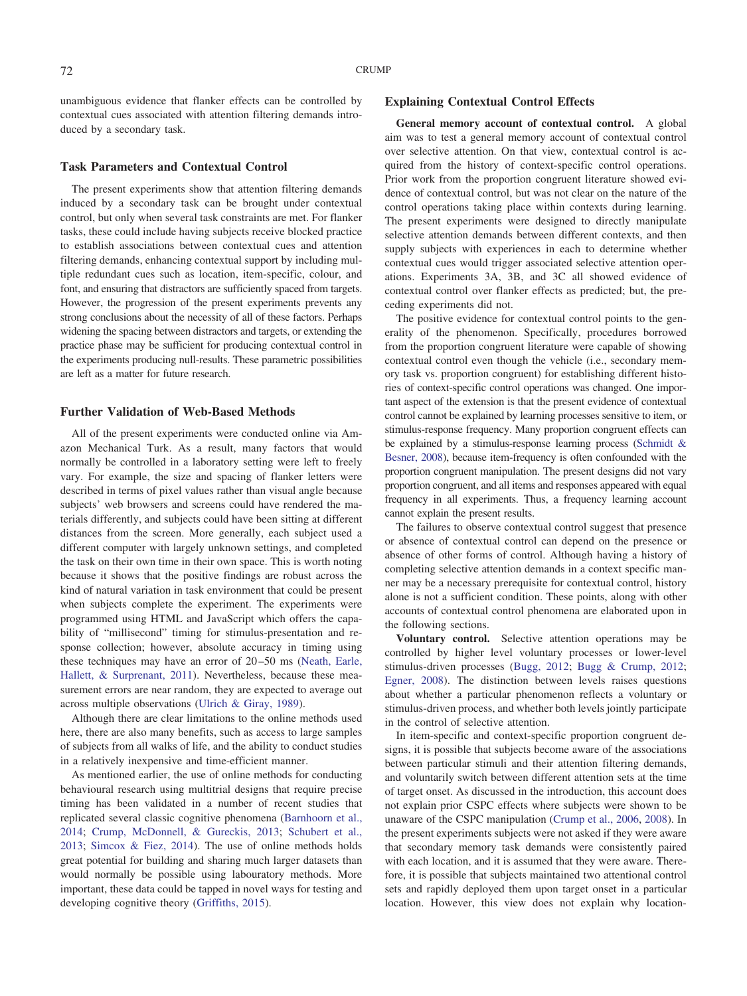unambiguous evidence that flanker effects can be controlled by contextual cues associated with attention filtering demands introduced by a secondary task.

# **Task Parameters and Contextual Control**

The present experiments show that attention filtering demands induced by a secondary task can be brought under contextual control, but only when several task constraints are met. For flanker tasks, these could include having subjects receive blocked practice to establish associations between contextual cues and attention filtering demands, enhancing contextual support by including multiple redundant cues such as location, item-specific, colour, and font, and ensuring that distractors are sufficiently spaced from targets. However, the progression of the present experiments prevents any strong conclusions about the necessity of all of these factors. Perhaps widening the spacing between distractors and targets, or extending the practice phase may be sufficient for producing contextual control in the experiments producing null-results. These parametric possibilities are left as a matter for future research.

# **Further Validation of Web-Based Methods**

All of the present experiments were conducted online via Amazon Mechanical Turk. As a result, many factors that would normally be controlled in a laboratory setting were left to freely vary. For example, the size and spacing of flanker letters were described in terms of pixel values rather than visual angle because subjects' web browsers and screens could have rendered the materials differently, and subjects could have been sitting at different distances from the screen. More generally, each subject used a different computer with largely unknown settings, and completed the task on their own time in their own space. This is worth noting because it shows that the positive findings are robust across the kind of natural variation in task environment that could be present when subjects complete the experiment. The experiments were programmed using HTML and JavaScript which offers the capability of "millisecond" timing for stimulus-presentation and response collection; however, absolute accuracy in timing using these techniques may have an error of 20–50 ms [\(Neath, Earle,](#page-17-21) [Hallett, & Surprenant, 2011\)](#page-17-21). Nevertheless, because these measurement errors are near random, they are expected to average out across multiple observations [\(Ulrich & Giray, 1989\)](#page-17-22).

Although there are clear limitations to the online methods used here, there are also many benefits, such as access to large samples of subjects from all walks of life, and the ability to conduct studies in a relatively inexpensive and time-efficient manner.

As mentioned earlier, the use of online methods for conducting behavioural research using multitrial designs that require precise timing has been validated in a number of recent studies that replicated several classic cognitive phenomena [\(Barnhoorn et al.,](#page-16-23) [2014;](#page-16-23) [Crump, McDonnell, & Gureckis, 2013;](#page-16-22) [Schubert et al.,](#page-17-17) [2013;](#page-17-17) [Simcox & Fiez, 2014\)](#page-17-18). The use of online methods holds great potential for building and sharing much larger datasets than would normally be possible using labouratory methods. More important, these data could be tapped in novel ways for testing and developing cognitive theory [\(Griffiths, 2015\)](#page-16-26).

# **Explaining Contextual Control Effects**

**General memory account of contextual control.** A global aim was to test a general memory account of contextual control over selective attention. On that view, contextual control is acquired from the history of context-specific control operations. Prior work from the proportion congruent literature showed evidence of contextual control, but was not clear on the nature of the control operations taking place within contexts during learning. The present experiments were designed to directly manipulate selective attention demands between different contexts, and then supply subjects with experiences in each to determine whether contextual cues would trigger associated selective attention operations. Experiments 3A, 3B, and 3C all showed evidence of contextual control over flanker effects as predicted; but, the preceding experiments did not.

The positive evidence for contextual control points to the generality of the phenomenon. Specifically, procedures borrowed from the proportion congruent literature were capable of showing contextual control even though the vehicle (i.e., secondary memory task vs. proportion congruent) for establishing different histories of context-specific control operations was changed. One important aspect of the extension is that the present evidence of contextual control cannot be explained by learning processes sensitive to item, or stimulus-response frequency. Many proportion congruent effects can be explained by a stimulus-response learning process [\(Schmidt &](#page-17-13) [Besner, 2008\)](#page-17-13), because item-frequency is often confounded with the proportion congruent manipulation. The present designs did not vary proportion congruent, and all items and responses appeared with equal frequency in all experiments. Thus, a frequency learning account cannot explain the present results.

The failures to observe contextual control suggest that presence or absence of contextual control can depend on the presence or absence of other forms of control. Although having a history of completing selective attention demands in a context specific manner may be a necessary prerequisite for contextual control, history alone is not a sufficient condition. These points, along with other accounts of contextual control phenomena are elaborated upon in the following sections.

**Voluntary control.** Selective attention operations may be controlled by higher level voluntary processes or lower-level stimulus-driven processes [\(Bugg, 2012;](#page-16-0) [Bugg & Crump, 2012;](#page-16-1) [Egner, 2008\)](#page-16-2). The distinction between levels raises questions about whether a particular phenomenon reflects a voluntary or stimulus-driven process, and whether both levels jointly participate in the control of selective attention.

In item-specific and context-specific proportion congruent designs, it is possible that subjects become aware of the associations between particular stimuli and their attention filtering demands, and voluntarily switch between different attention sets at the time of target onset. As discussed in the introduction, this account does not explain prior CSPC effects where subjects were shown to be unaware of the CSPC manipulation [\(Crump et al., 2006,](#page-16-16) [2008\)](#page-16-2). In the present experiments subjects were not asked if they were aware that secondary memory task demands were consistently paired with each location, and it is assumed that they were aware. Therefore, it is possible that subjects maintained two attentional control sets and rapidly deployed them upon target onset in a particular location. However, this view does not explain why location-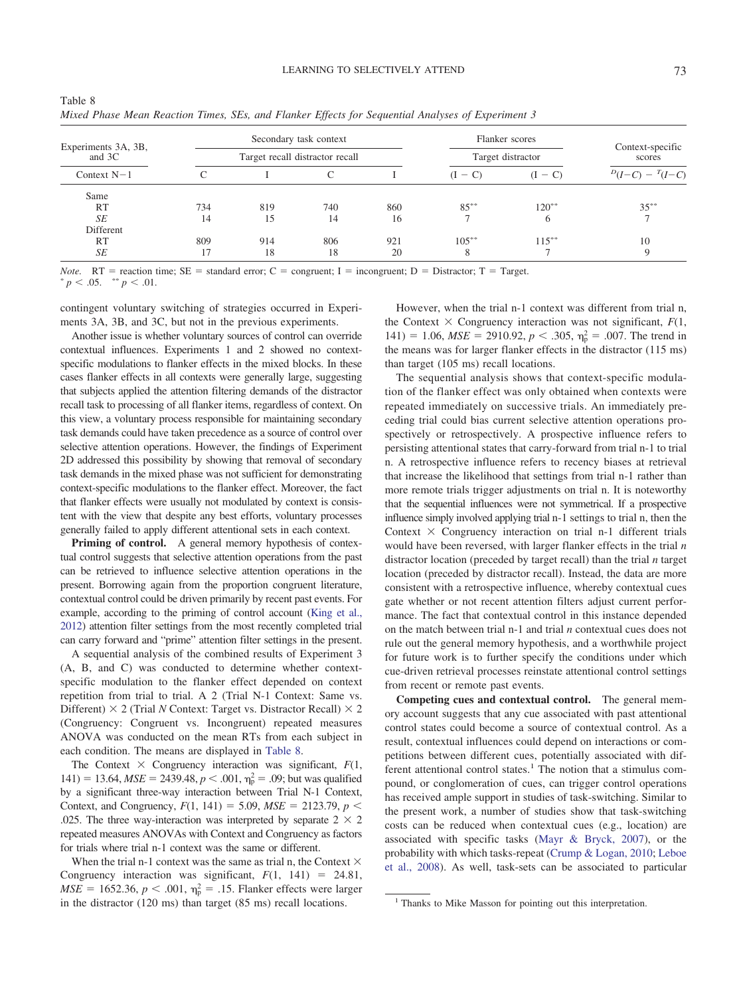| Experiments 3A, 3B,<br>and 3C<br>Context $N-1$ |     |     | Secondary task context          |     |                   | Flanker scores             |                   |  |
|------------------------------------------------|-----|-----|---------------------------------|-----|-------------------|----------------------------|-------------------|--|
|                                                |     |     | Target recall distractor recall |     | Target distractor | Context-specific<br>scores |                   |  |
|                                                |     |     |                                 |     | $(I - C)$         | $(I - C)$                  | $D(I-C) - T(I-C)$ |  |
| Same                                           |     |     |                                 |     |                   |                            |                   |  |
| <b>RT</b>                                      | 734 | 819 | 740                             | 860 | $85***$           | $120^{**}$                 | $35***$           |  |
| SE                                             | 14  | 15  | 14                              | 16  |                   | 6                          |                   |  |
| Different                                      |     |     |                                 |     |                   |                            |                   |  |
| <b>RT</b>                                      | 809 | 914 | 806                             | 921 | $105***$          | $115***$                   | 10                |  |
| SE                                             |     | 18  | 18                              | 20  | 8                 |                            |                   |  |

<span id="page-14-0"></span>

| Table 8                                                                                           |  |  |  |  |
|---------------------------------------------------------------------------------------------------|--|--|--|--|
| Mixed Phase Mean Reaction Times, SEs, and Flanker Effects for Sequential Analyses of Experiment 3 |  |  |  |  |

*Note.*  $RT$  = reaction time;  $SE$  = standard error; C = congruent; I = incongruent; D = Distractor; T = Target.  $p < .05.$  \*\*  $p < .01.$ 

contingent voluntary switching of strategies occurred in Experiments 3A, 3B, and 3C, but not in the previous experiments.

Another issue is whether voluntary sources of control can override contextual influences. Experiments 1 and 2 showed no contextspecific modulations to flanker effects in the mixed blocks. In these cases flanker effects in all contexts were generally large, suggesting that subjects applied the attention filtering demands of the distractor recall task to processing of all flanker items, regardless of context. On this view, a voluntary process responsible for maintaining secondary task demands could have taken precedence as a source of control over selective attention operations. However, the findings of Experiment 2D addressed this possibility by showing that removal of secondary task demands in the mixed phase was not sufficient for demonstrating context-specific modulations to the flanker effect. Moreover, the fact that flanker effects were usually not modulated by context is consistent with the view that despite any best efforts, voluntary processes generally failed to apply different attentional sets in each context.

**Priming of control.** A general memory hypothesis of contextual control suggests that selective attention operations from the past can be retrieved to influence selective attention operations in the present. Borrowing again from the proportion congruent literature, contextual control could be driven primarily by recent past events. For example, according to the priming of control account [\(King et al.,](#page-16-21) [2012\)](#page-16-21) attention filter settings from the most recently completed trial can carry forward and "prime" attention filter settings in the present.

A sequential analysis of the combined results of Experiment 3 (A, B, and C) was conducted to determine whether contextspecific modulation to the flanker effect depended on context repetition from trial to trial. A 2 (Trial N-1 Context: Same vs. Different)  $\times$  2 (Trial *N* Context: Target vs. Distractor Recall)  $\times$  2 (Congruency: Congruent vs. Incongruent) repeated measures ANOVA was conducted on the mean RTs from each subject in each condition. The means are displayed in [Table 8.](#page-14-0)

The Context  $\times$  Congruency interaction was significant,  $F(1,$  $141$ ) = 13.64, *MSE* = 2439.48, *p* < .001,  $\eta_p^2$  = .09; but was qualified by a significant three-way interaction between Trial N-1 Context, Context, and Congruency,  $F(1, 141) = 5.09$ ,  $MSE = 2123.79$ ,  $p <$ .025. The three way-interaction was interpreted by separate  $2 \times 2$ repeated measures ANOVAs with Context and Congruency as factors for trials where trial n-1 context was the same or different.

When the trial n-1 context was the same as trial n, the Context  $\times$ Congruency interaction was significant,  $F(1, 141) = 24.81$ ,  $MSE = 1652.36, p < .001, \eta_p^2 = .15$ . Flanker effects were larger in the distractor (120 ms) than target (85 ms) recall locations.

However, when the trial n-1 context was different from trial n, the Context  $\times$  Congruency interaction was not significant,  $F(1,$ 141) = 1.06,  $MSE = 2910.92$ ,  $p < .305$ ,  $\eta_p^2 = .007$ . The trend in the means was for larger flanker effects in the distractor (115 ms) than target (105 ms) recall locations.

The sequential analysis shows that context-specific modulation of the flanker effect was only obtained when contexts were repeated immediately on successive trials. An immediately preceding trial could bias current selective attention operations prospectively or retrospectively. A prospective influence refers to persisting attentional states that carry-forward from trial n-1 to trial n. A retrospective influence refers to recency biases at retrieval that increase the likelihood that settings from trial n-1 rather than more remote trials trigger adjustments on trial n. It is noteworthy that the sequential influences were not symmetrical. If a prospective influence simply involved applying trial n-1 settings to trial n, then the Context  $\times$  Congruency interaction on trial n-1 different trials would have been reversed, with larger flanker effects in the trial *n* distractor location (preceded by target recall) than the trial *n* target location (preceded by distractor recall). Instead, the data are more consistent with a retrospective influence, whereby contextual cues gate whether or not recent attention filters adjust current performance. The fact that contextual control in this instance depended on the match between trial n-1 and trial *n* contextual cues does not rule out the general memory hypothesis, and a worthwhile project for future work is to further specify the conditions under which cue-driven retrieval processes reinstate attentional control settings from recent or remote past events.

**Competing cues and contextual control.** The general memory account suggests that any cue associated with past attentional control states could become a source of contextual control. As a result, contextual influences could depend on interactions or competitions between different cues, potentially associated with different attentional control states.<sup>1</sup> The notion that a stimulus compound, or conglomeration of cues, can trigger control operations has received ample support in studies of task-switching. Similar to the present work, a number of studies show that task-switching costs can be reduced when contextual cues (e.g., location) are associated with specific tasks [\(Mayr & Bryck, 2007\)](#page-17-4), or the probability with which tasks-repeat [\(Crump & Logan, 2010;](#page-16-18) [Leboe](#page-17-11) [et al., 2008\)](#page-17-11). As well, task-sets can be associated to particular

<sup>&</sup>lt;sup>1</sup> Thanks to Mike Masson for pointing out this interpretation.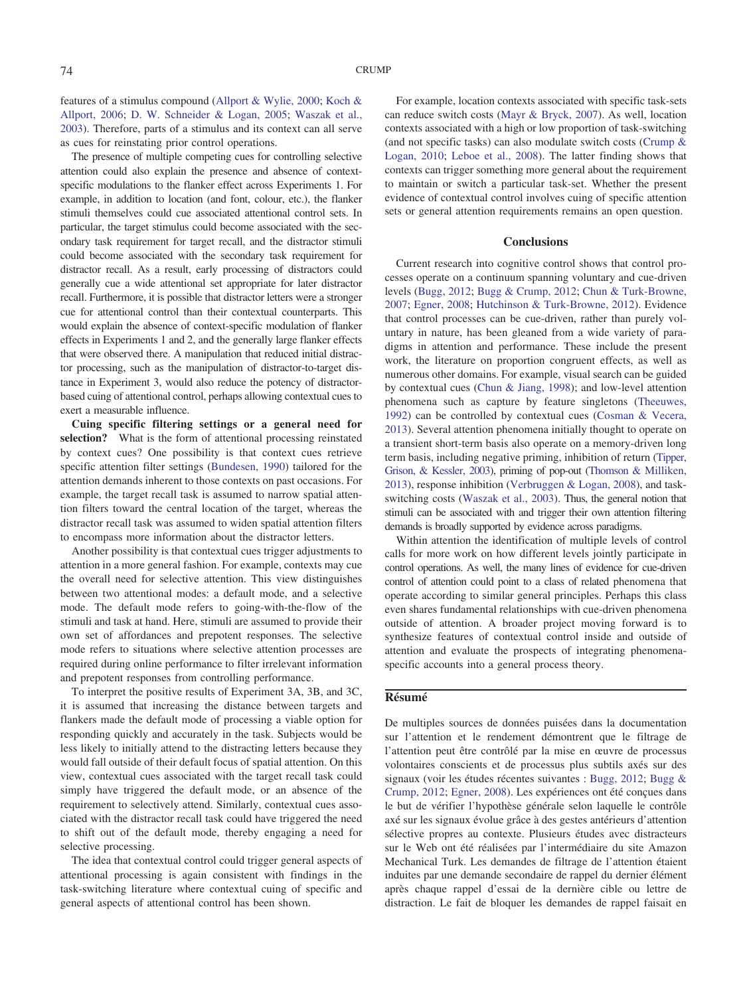features of a stimulus compound [\(Allport & Wylie, 2000;](#page-16-27) [Koch &](#page-16-28) [Allport, 2006;](#page-16-28) [D. W. Schneider & Logan, 2005;](#page-17-23) [Waszak et al.,](#page-17-3) [2003\)](#page-17-3). Therefore, parts of a stimulus and its context can all serve as cues for reinstating prior control operations.

The presence of multiple competing cues for controlling selective attention could also explain the presence and absence of contextspecific modulations to the flanker effect across Experiments 1. For example, in addition to location (and font, colour, etc.), the flanker stimuli themselves could cue associated attentional control sets. In particular, the target stimulus could become associated with the secondary task requirement for target recall, and the distractor stimuli could become associated with the secondary task requirement for distractor recall. As a result, early processing of distractors could generally cue a wide attentional set appropriate for later distractor recall. Furthermore, it is possible that distractor letters were a stronger cue for attentional control than their contextual counterparts. This would explain the absence of context-specific modulation of flanker effects in Experiments 1 and 2, and the generally large flanker effects that were observed there. A manipulation that reduced initial distractor processing, such as the manipulation of distractor-to-target distance in Experiment 3, would also reduce the potency of distractorbased cuing of attentional control, perhaps allowing contextual cues to exert a measurable influence.

**Cuing specific filtering settings or a general need for selection?** What is the form of attentional processing reinstated by context cues? One possibility is that context cues retrieve specific attention filter settings [\(Bundesen, 1990\)](#page-16-29) tailored for the attention demands inherent to those contexts on past occasions. For example, the target recall task is assumed to narrow spatial attention filters toward the central location of the target, whereas the distractor recall task was assumed to widen spatial attention filters to encompass more information about the distractor letters.

Another possibility is that contextual cues trigger adjustments to attention in a more general fashion. For example, contexts may cue the overall need for selective attention. This view distinguishes between two attentional modes: a default mode, and a selective mode. The default mode refers to going-with-the-flow of the stimuli and task at hand. Here, stimuli are assumed to provide their own set of affordances and prepotent responses. The selective mode refers to situations where selective attention processes are required during online performance to filter irrelevant information and prepotent responses from controlling performance.

To interpret the positive results of Experiment 3A, 3B, and 3C, it is assumed that increasing the distance between targets and flankers made the default mode of processing a viable option for responding quickly and accurately in the task. Subjects would be less likely to initially attend to the distracting letters because they would fall outside of their default focus of spatial attention. On this view, contextual cues associated with the target recall task could simply have triggered the default mode, or an absence of the requirement to selectively attend. Similarly, contextual cues associated with the distractor recall task could have triggered the need to shift out of the default mode, thereby engaging a need for selective processing.

The idea that contextual control could trigger general aspects of attentional processing is again consistent with findings in the task-switching literature where contextual cuing of specific and general aspects of attentional control has been shown.

For example, location contexts associated with specific task-sets can reduce switch costs [\(Mayr & Bryck, 2007\)](#page-17-4). As well, location contexts associated with a high or low proportion of task-switching (and not specific tasks) can also modulate switch costs [\(Crump &](#page-16-18) [Logan, 2010;](#page-16-18) [Leboe et al., 2008\)](#page-17-11). The latter finding shows that contexts can trigger something more general about the requirement to maintain or switch a particular task-set. Whether the present evidence of contextual control involves cuing of specific attention sets or general attention requirements remains an open question.

# **Conclusions**

Current research into cognitive control shows that control processes operate on a continuum spanning voluntary and cue-driven levels [\(Bugg, 2012;](#page-16-0) [Bugg & Crump, 2012;](#page-16-1) [Chun & Turk-Browne,](#page-16-30) [2007;](#page-16-30) [Egner, 2008;](#page-16-2) [Hutchinson & Turk-Browne, 2012\)](#page-16-31). Evidence that control processes can be cue-driven, rather than purely voluntary in nature, has been gleaned from a wide variety of paradigms in attention and performance. These include the present work, the literature on proportion congruent effects, as well as numerous other domains. For example, visual search can be guided by contextual cues [\(Chun & Jiang, 1998\)](#page-16-5); and low-level attention phenomena such as capture by feature singletons [\(Theeuwes,](#page-17-24) [1992\)](#page-17-24) can be controlled by contextual cues [\(Cosman & Vecera,](#page-16-32) [2013\)](#page-16-32). Several attention phenomena initially thought to operate on a transient short-term basis also operate on a memory-driven long term basis, including negative priming, inhibition of return [\(Tipper,](#page-17-25) [Grison, & Kessler, 2003\)](#page-17-25), priming of pop-out [\(Thomson &](#page-17-26) Milliken, [2013\)](#page-17-26), response inhibition [\(Verbruggen & Logan, 2008\)](#page-17-27), and taskswitching costs [\(Waszak et al., 2003\)](#page-17-3). Thus, the general notion that stimuli can be associated with and trigger their own attention filtering demands is broadly supported by evidence across paradigms.

Within attention the identification of multiple levels of control calls for more work on how different levels jointly participate in control operations. As well, the many lines of evidence for cue-driven control of attention could point to a class of related phenomena that operate according to similar general principles. Perhaps this class even shares fundamental relationships with cue-driven phenomena outside of attention. A broader project moving forward is to synthesize features of contextual control inside and outside of attention and evaluate the prospects of integrating phenomenaspecific accounts into a general process theory.

# **Résumé**

De multiples sources de données puisées dans la documentation sur l'attention et le rendement démontrent que le filtrage de l'attention peut être contrôlé par la mise en œuvre de processus volontaires conscients et de processus plus subtils axés sur des signaux (voir les études récentes suivantes : [Bugg, 2012;](#page-16-0) [Bugg &](#page-16-1) [Crump, 2012;](#page-16-1) [Egner, 2008\)](#page-16-2). Les expériences ont été conçues dans le but de vérifier l'hypothèse générale selon laquelle le contrôle axé sur les signaux évolue grâce a` des gestes antérieurs d'attention sélective propres au contexte. Plusieurs études avec distracteurs sur le Web ont été réalisées par l'intermédiaire du site Amazon Mechanical Turk. Les demandes de filtrage de l'attention étaient induites par une demande secondaire de rappel du dernier élément après chaque rappel d'essai de la dernière cible ou lettre de distraction. Le fait de bloquer les demandes de rappel faisait en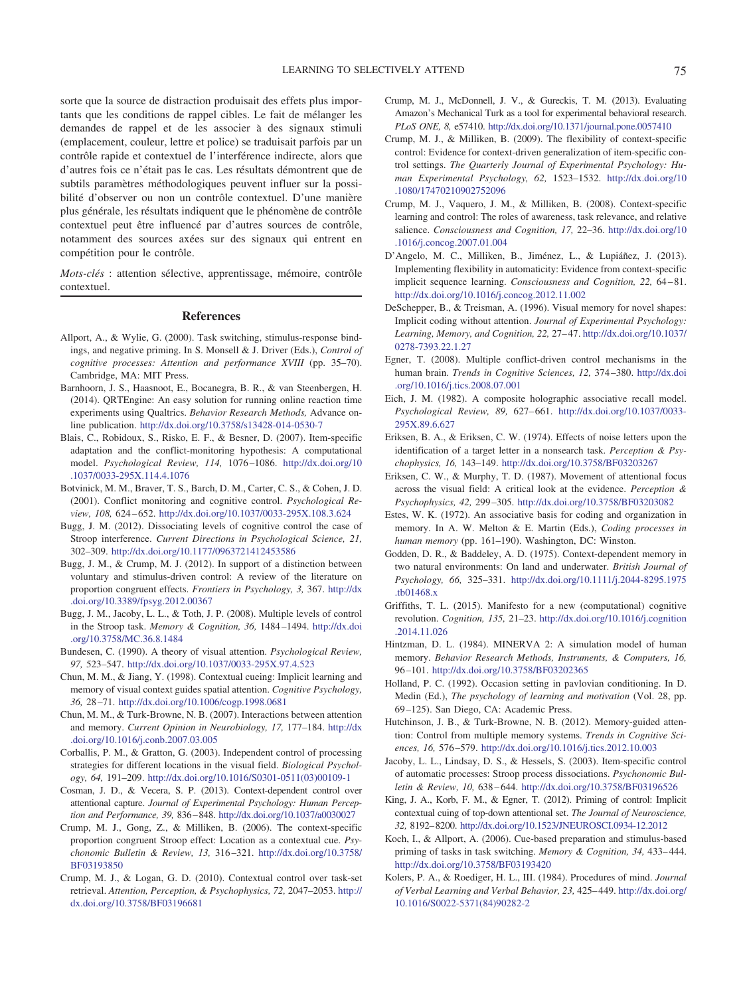sorte que la source de distraction produisait des effets plus importants que les conditions de rappel cibles. Le fait de mélanger les demandes de rappel et de les associer a` des signaux stimuli (emplacement, couleur, lettre et police) se traduisait parfois par un contrôle rapide et contextuel de l'interférence indirecte, alors que d'autres fois ce n'était pas le cas. Les résultats démontrent que de subtils paramètres méthodologiques peuvent influer sur la possibilité d'observer ou non un contrôle contextuel. D'une manière plus générale, les résultats indiquent que le phénomène de contrôle contextuel peut être influencé par d'autres sources de contrôle, notamment des sources axées sur des signaux qui entrent en compétition pour le contrôle.

*Mots-clés* : attention sélective, apprentissage, mémoire, contrôle contextuel.

#### **References**

- <span id="page-16-27"></span>Allport, A., & Wylie, G. (2000). Task switching, stimulus-response bindings, and negative priming. In S. Monsell & J. Driver (Eds.), *Control of cognitive processes: Attention and performance XVIII* (pp. 35–70). Cambridge, MA: MIT Press.
- <span id="page-16-23"></span>Barnhoorn, J. S., Haasnoot, E., Bocanegra, B. R., & van Steenbergen, H. (2014). QRTEngine: An easy solution for running online reaction time experiments using Qualtrics. *Behavior Research Methods,* Advance online publication. <http://dx.doi.org/10.3758/s13428-014-0530-7>
- <span id="page-16-20"></span>Blais, C., Robidoux, S., Risko, E. F., & Besner, D. (2007). Item-specific adaptation and the conflict-monitoring hypothesis: A computational model. *Psychological Review, 114,* 1076 –1086. [http://dx.doi.org/10](http://dx.doi.org/10.1037/0033-295X.114.4.1076) [.1037/0033-295X.114.4.1076](http://dx.doi.org/10.1037/0033-295X.114.4.1076)
- <span id="page-16-19"></span>Botvinick, M. M., Braver, T. S., Barch, D. M., Carter, C. S., & Cohen, J. D. (2001). Conflict monitoring and cognitive control. *Psychological Review, 108,* 624 – 652. <http://dx.doi.org/10.1037/0033-295X.108.3.624>
- <span id="page-16-0"></span>Bugg, J. M. (2012). Dissociating levels of cognitive control the case of Stroop interference. *Current Directions in Psychological Science, 21,* 302–309. <http://dx.doi.org/10.1177/0963721412453586>
- <span id="page-16-1"></span>Bugg, J. M., & Crump, M. J. (2012). In support of a distinction between voluntary and stimulus-driven control: A review of the literature on proportion congruent effects. *Frontiers in Psychology, 3,* 367. [http://dx](http://dx.doi.org/10.3389/fpsyg.2012.00367) [.doi.org/10.3389/fpsyg.2012.00367](http://dx.doi.org/10.3389/fpsyg.2012.00367)
- <span id="page-16-17"></span>Bugg, J. M., Jacoby, L. L., & Toth, J. P. (2008). Multiple levels of control in the Stroop task. *Memory & Cognition, 36,* 1484 –1494. [http://dx.doi](http://dx.doi.org/10.3758/MC.36.8.1484) [.org/10.3758/MC.36.8.1484](http://dx.doi.org/10.3758/MC.36.8.1484)
- <span id="page-16-29"></span>Bundesen, C. (1990). A theory of visual attention. *Psychological Review, 97,* 523–547. <http://dx.doi.org/10.1037/0033-295X.97.4.523>
- <span id="page-16-5"></span>Chun, M. M., & Jiang, Y. (1998). Contextual cueing: Implicit learning and memory of visual context guides spatial attention. *Cognitive Psychology, 36,* 28 –71. <http://dx.doi.org/10.1006/cogp.1998.0681>
- <span id="page-16-30"></span>Chun, M. M., & Turk-Browne, N. B. (2007). Interactions between attention and memory. *Current Opinion in Neurobiology, 17,* 177–184. [http://dx](http://dx.doi.org/10.1016/j.conb.2007.03.005) [.doi.org/10.1016/j.conb.2007.03.005](http://dx.doi.org/10.1016/j.conb.2007.03.005)
- <span id="page-16-15"></span>Corballis, P. M., & Gratton, G. (2003). Independent control of processing strategies for different locations in the visual field. *Biological Psychology, 64,* 191–209. [http://dx.doi.org/10.1016/S0301-0511\(03\)00109-1](http://dx.doi.org/10.1016/S0301-0511%2803%2900109-1)
- <span id="page-16-32"></span>Cosman, J. D., & Vecera, S. P. (2013). Context-dependent control over attentional capture. *Journal of Experimental Psychology: Human Perception and Performance, 39,* 836 – 848. <http://dx.doi.org/10.1037/a0030027>
- <span id="page-16-16"></span>Crump, M. J., Gong, Z., & Milliken, B. (2006). The context-specific proportion congruent Stroop effect: Location as a contextual cue. *Psychonomic Bulletin & Review, 13,* 316 –321. [http://dx.doi.org/10.3758/](http://dx.doi.org/10.3758/BF03193850) [BF03193850](http://dx.doi.org/10.3758/BF03193850)
- <span id="page-16-18"></span>Crump, M. J., & Logan, G. D. (2010). Contextual control over task-set retrieval. *Attention, Perception, & Psychophysics, 72,* 2047–2053. [http://](http://dx.doi.org/10.3758/BF03196681) [dx.doi.org/10.3758/BF03196681](http://dx.doi.org/10.3758/BF03196681)
- <span id="page-16-22"></span>Crump, M. J., McDonnell, J. V., & Gureckis, T. M. (2013). Evaluating Amazon's Mechanical Turk as a tool for experimental behavioral research. *PLoS ONE, 8,* e57410. <http://dx.doi.org/10.1371/journal.pone.0057410>
- <span id="page-16-11"></span>Crump, M. J., & Milliken, B. (2009). The flexibility of context-specific control: Evidence for context-driven generalization of item-specific control settings. *The Quarterly Journal of Experimental Psychology: Human Experimental Psychology, 62,* 1523–1532. [http://dx.doi.org/10](http://dx.doi.org/10.1080/17470210902752096) [.1080/17470210902752096](http://dx.doi.org/10.1080/17470210902752096)
- <span id="page-16-12"></span>Crump, M. J., Vaquero, J. M., & Milliken, B. (2008). Context-specific learning and control: The roles of awareness, task relevance, and relative salience. *Consciousness and Cognition, 17,* 22–36. [http://dx.doi.org/10](http://dx.doi.org/10.1016/j.concog.2007.01.004) [.1016/j.concog.2007.01.004](http://dx.doi.org/10.1016/j.concog.2007.01.004)
- <span id="page-16-24"></span>D'Angelo, M. C., Milliken, B., Jiménez, L., & Lupiáñez, J. (2013). Implementing flexibility in automaticity: Evidence from context-specific implicit sequence learning. *Consciousness and Cognition*, 22, 64-81. <http://dx.doi.org/10.1016/j.concog.2012.11.002>
- <span id="page-16-6"></span>DeSchepper, B., & Treisman, A. (1996). Visual memory for novel shapes: Implicit coding without attention. *Journal of Experimental Psychology: Learning, Memory, and Cognition, 22,* 27– 47. [http://dx.doi.org/10.1037/](http://dx.doi.org/10.1037/0278-7393.22.1.27) [0278-7393.22.1.27](http://dx.doi.org/10.1037/0278-7393.22.1.27)
- <span id="page-16-2"></span>Egner, T. (2008). Multiple conflict-driven control mechanisms in the human brain. *Trends in Cognitive Sciences, 12,* 374 –380. [http://dx.doi](http://dx.doi.org/10.1016/j.tics.2008.07.001) [.org/10.1016/j.tics.2008.07.001](http://dx.doi.org/10.1016/j.tics.2008.07.001)
- <span id="page-16-7"></span>Eich, J. M. (1982). A composite holographic associative recall model. *Psychological Review, 89,* 627– 661. [http://dx.doi.org/10.1037/0033-](http://dx.doi.org/10.1037/0033-295X.89.6.627) [295X.89.6.627](http://dx.doi.org/10.1037/0033-295X.89.6.627)
- <span id="page-16-13"></span>Eriksen, B. A., & Eriksen, C. W. (1974). Effects of noise letters upon the identification of a target letter in a nonsearch task. *Perception & Psychophysics, 16,* 143–149. <http://dx.doi.org/10.3758/BF03203267>
- <span id="page-16-25"></span>Eriksen, C. W., & Murphy, T. D. (1987). Movement of attentional focus across the visual field: A critical look at the evidence. *Perception & Psychophysics, 42,* 299 –305. <http://dx.doi.org/10.3758/BF03203082>
- <span id="page-16-10"></span>Estes, W. K. (1972). An associative basis for coding and organization in memory. In A. W. Melton & E. Martin (Eds.), *Coding processes in human memory* (pp. 161–190). Washington, DC: Winston.
- <span id="page-16-4"></span>Godden, D. R., & Baddeley, A. D. (1975). Context-dependent memory in two natural environments: On land and underwater. *British Journal of Psychology, 66,* 325–331. [http://dx.doi.org/10.1111/j.2044-8295.1975](http://dx.doi.org/10.1111/j.2044-8295.1975.tb01468.x) [.tb01468.x](http://dx.doi.org/10.1111/j.2044-8295.1975.tb01468.x)
- <span id="page-16-26"></span>Griffiths, T. L. (2015). Manifesto for a new (computational) cognitive revolution. *Cognition, 135,* 21–23. [http://dx.doi.org/10.1016/j.cognition](http://dx.doi.org/10.1016/j.cognition.2014.11.026) [.2014.11.026](http://dx.doi.org/10.1016/j.cognition.2014.11.026)
- <span id="page-16-8"></span>Hintzman, D. L. (1984). MINERVA 2: A simulation model of human memory. *Behavior Research Methods, Instruments, & Computers, 16,* 96 –101. <http://dx.doi.org/10.3758/BF03202365>
- <span id="page-16-3"></span>Holland, P. C. (1992). Occasion setting in pavlovian conditioning. In D. Medin (Ed.), *The psychology of learning and motivation* (Vol. 28, pp. 69 –125). San Diego, CA: Academic Press.
- <span id="page-16-31"></span>Hutchinson, J. B., & Turk-Browne, N. B. (2012). Memory-guided attention: Control from multiple memory systems. *Trends in Cognitive Sciences, 16,* 576 –579. <http://dx.doi.org/10.1016/j.tics.2012.10.003>
- <span id="page-16-14"></span>Jacoby, L. L., Lindsay, D. S., & Hessels, S. (2003). Item-specific control of automatic processes: Stroop process dissociations. *Psychonomic Bulletin & Review, 10,* 638 – 644. <http://dx.doi.org/10.3758/BF03196526>
- <span id="page-16-21"></span>King, J. A., Korb, F. M., & Egner, T. (2012). Priming of control: Implicit contextual cuing of top-down attentional set. *The Journal of Neuroscience, 32,* 8192– 8200. <http://dx.doi.org/10.1523/JNEUROSCI.0934-12.2012>
- <span id="page-16-28"></span>Koch, I., & Allport, A. (2006). Cue-based preparation and stimulus-based priming of tasks in task switching. Memory & Cognition, 34, 433-444. <http://dx.doi.org/10.3758/BF03193420>
- <span id="page-16-9"></span>Kolers, P. A., & Roediger, H. L., III. (1984). Procedures of mind. *Journal of Verbal Learning and Verbal Behavior, 23,* 425– 449. [http://dx.doi.org/](http://dx.doi.org/10.1016/S0022-5371%2884%2990282-2) [10.1016/S0022-5371\(84\)90282-2](http://dx.doi.org/10.1016/S0022-5371%2884%2990282-2)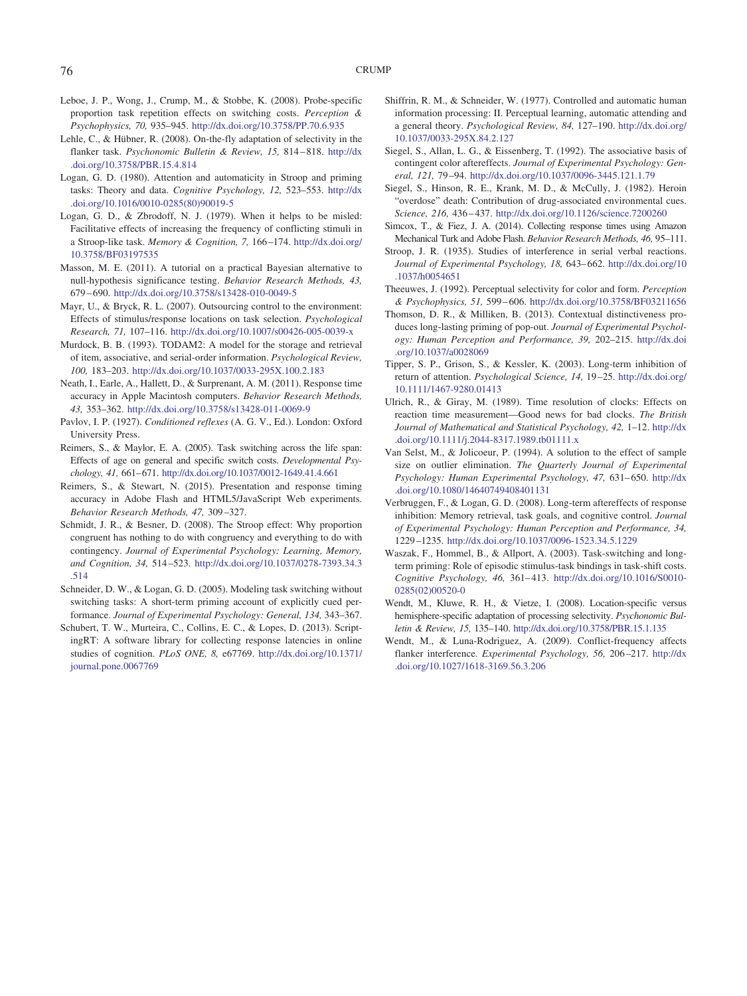- <span id="page-17-11"></span>Leboe, J. P., Wong, J., Crump, M., & Stobbe, K. (2008). Probe-specific proportion task repetition effects on switching costs. *Perception & Psychophysics, 70,* 935–945. <http://dx.doi.org/10.3758/PP.70.6.935>
- <span id="page-17-20"></span>Lehle, C., & Hübner, R. (2008). On-the-fly adaptation of selectivity in the flanker task. *Psychonomic Bulletin & Review, 15,* 814 – 818. [http://dx](http://dx.doi.org/10.3758/PBR.15.4.814) [.doi.org/10.3758/PBR.15.4.814](http://dx.doi.org/10.3758/PBR.15.4.814)
- <span id="page-17-7"></span>Logan, G. D. (1980). Attention and automaticity in Stroop and priming tasks: Theory and data. *Cognitive Psychology, 12,* 523–553. [http://dx](http://dx.doi.org/10.1016/0010-0285%2880%2990019-5) [.doi.org/10.1016/0010-0285\(80\)90019-5](http://dx.doi.org/10.1016/0010-0285%2880%2990019-5)
- <span id="page-17-8"></span>Logan, G. D., & Zbrodoff, N. J. (1979). When it helps to be misled: Facilitative effects of increasing the frequency of conflicting stimuli in a Stroop-like task. *Memory & Cognition, 7,* 166 –174. [http://dx.doi.org/](http://dx.doi.org/10.3758/BF03197535) [10.3758/BF03197535](http://dx.doi.org/10.3758/BF03197535)
- <span id="page-17-14"></span>Masson, M. E. (2011). A tutorial on a practical Bayesian alternative to null-hypothesis significance testing. *Behavior Research Methods, 43,* 679 – 690. <http://dx.doi.org/10.3758/s13428-010-0049-5>
- <span id="page-17-4"></span>Mayr, U., & Bryck, R. L. (2007). Outsourcing control to the environment: Effects of stimulus/response locations on task selection. *Psychological Research, 71,* 107–116. <http://dx.doi.org/10.1007/s00426-005-0039-x>
- <span id="page-17-5"></span>Murdock, B. B. (1993). TODAM2: A model for the storage and retrieval of item, associative, and serial-order information. *Psychological Review, 100,* 183–203. <http://dx.doi.org/10.1037/0033-295X.100.2.183>
- <span id="page-17-21"></span>Neath, I., Earle, A., Hallett, D., & Surprenant, A. M. (2011). Response time accuracy in Apple Macintosh computers. *Behavior Research Methods, 43,* 353–362. <http://dx.doi.org/10.3758/s13428-011-0069-9>
- <span id="page-17-0"></span>Pavlov, I. P. (1927). *Conditioned reflexes* (A. G. V., Ed.). London: Oxford University Press.
- <span id="page-17-15"></span>Reimers, S., & Maylor, E. A. (2005). Task switching across the life span: Effects of age on general and specific switch costs. *Developmental Psychology, 41,* 661– 671. <http://dx.doi.org/10.1037/0012-1649.41.4.661>
- <span id="page-17-16"></span>Reimers, S., & Stewart, N. (2015). Presentation and response timing accuracy in Adobe Flash and HTML5/JavaScript Web experiments. *Behavior Research Methods, 47,* 309 –327.
- <span id="page-17-13"></span>Schmidt, J. R., & Besner, D. (2008). The Stroop effect: Why proportion congruent has nothing to do with congruency and everything to do with contingency. *Journal of Experimental Psychology: Learning, Memory, and Cognition, 34,* 514 –523. [http://dx.doi.org/10.1037/0278-7393.34.3](http://dx.doi.org/10.1037/0278-7393.34.3.514) [.514](http://dx.doi.org/10.1037/0278-7393.34.3.514)
- <span id="page-17-23"></span>Schneider, D. W., & Logan, G. D. (2005). Modeling task switching without switching tasks: A short-term priming account of explicitly cued performance. *Journal of Experimental Psychology: General, 134,* 343–367.
- <span id="page-17-17"></span>Schubert, T. W., Murteira, C., Collins, E. C., & Lopes, D. (2013). ScriptingRT: A software library for collecting response latencies in online studies of cognition. *PLoS ONE, 8,* e67769. [http://dx.doi.org/10.1371/](http://dx.doi.org/10.1371/journal.pone.0067769) [journal.pone.0067769](http://dx.doi.org/10.1371/journal.pone.0067769)
- <span id="page-17-12"></span>Shiffrin, R. M., & Schneider, W. (1977). Controlled and automatic human information processing: II. Perceptual learning, automatic attending and a general theory. *Psychological Review, 84,* 127–190. [http://dx.doi.org/](http://dx.doi.org/10.1037/0033-295X.84.2.127) [10.1037/0033-295X.84.2.127](http://dx.doi.org/10.1037/0033-295X.84.2.127)
- <span id="page-17-1"></span>Siegel, S., Allan, L. G., & Eissenberg, T. (1992). The associative basis of contingent color aftereffects. *Journal of Experimental Psychology: General, 121,* 79 –94. <http://dx.doi.org/10.1037/0096-3445.121.1.79>
- <span id="page-17-2"></span>Siegel, S., Hinson, R. E., Krank, M. D., & McCully, J. (1982). Heroin "overdose" death: Contribution of drug-associated environmental cues. *Science, 216,* 436 – 437. <http://dx.doi.org/10.1126/science.7200260>
- <span id="page-17-18"></span>Simcox, T., & Fiez, J. A. (2014). Collecting response times using Amazon Mechanical Turk and Adobe Flash. *Behavior Research Methods, 46,* 95–111.
- <span id="page-17-6"></span>Stroop, J. R. (1935). Studies of interference in serial verbal reactions. *Journal of Experimental Psychology, 18,* 643– 662. [http://dx.doi.org/10](http://dx.doi.org/10.1037/h0054651) [.1037/h0054651](http://dx.doi.org/10.1037/h0054651)
- <span id="page-17-24"></span>Theeuwes, J. (1992). Perceptual selectivity for color and form. *Perception & Psychophysics, 51,* 599 – 606. <http://dx.doi.org/10.3758/BF03211656>
- <span id="page-17-26"></span>Thomson, D. R., & Milliken, B. (2013). Contextual distinctiveness produces long-lasting priming of pop-out. *Journal of Experimental Psychology: Human Perception and Performance, 39,* 202–215. [http://dx.doi](http://dx.doi.org/10.1037/a0028069) [.org/10.1037/a0028069](http://dx.doi.org/10.1037/a0028069)
- <span id="page-17-25"></span>Tipper, S. P., Grison, S., & Kessler, K. (2003). Long-term inhibition of return of attention. *Psychological Science, 14,* 19 –25. [http://dx.doi.org/](http://dx.doi.org/10.1111/1467-9280.01413) [10.1111/1467-9280.01413](http://dx.doi.org/10.1111/1467-9280.01413)
- <span id="page-17-22"></span>Ulrich, R., & Giray, M. (1989). Time resolution of clocks: Effects on reaction time measurement—Good news for bad clocks. *The British Journal of Mathematical and Statistical Psychology, 42,* 1–12. [http://dx](http://dx.doi.org/10.1111/j.2044-8317.1989.tb01111.x) [.doi.org/10.1111/j.2044-8317.1989.tb01111.x](http://dx.doi.org/10.1111/j.2044-8317.1989.tb01111.x)
- <span id="page-17-19"></span>Van Selst, M., & Jolicoeur, P. (1994). A solution to the effect of sample size on outlier elimination. *The Quarterly Journal of Experimental* Psychology: Human Experimental Psychology, 47, 631-650. [http://dx](http://dx.doi.org/10.1080/14640749408401131) [.doi.org/10.1080/14640749408401131](http://dx.doi.org/10.1080/14640749408401131)
- <span id="page-17-27"></span>Verbruggen, F., & Logan, G. D. (2008). Long-term aftereffects of response inhibition: Memory retrieval, task goals, and cognitive control. *Journal of Experimental Psychology: Human Perception and Performance, 34,* 1229 –1235. <http://dx.doi.org/10.1037/0096-1523.34.5.1229>
- <span id="page-17-3"></span>Waszak, F., Hommel, B., & Allport, A. (2003). Task-switching and longterm priming: Role of episodic stimulus-task bindings in task-shift costs. *Cognitive Psychology, 46,* 361– 413. [http://dx.doi.org/10.1016/S0010-](http://dx.doi.org/10.1016/S0010-0285%2802%2900520-0) [0285\(02\)00520-0](http://dx.doi.org/10.1016/S0010-0285%2802%2900520-0)
- <span id="page-17-9"></span>Wendt, M., Kluwe, R. H., & Vietze, I. (2008). Location-specific versus hemisphere-specific adaptation of processing selectivity. *Psychonomic Bulletin & Review, 15,* 135–140. <http://dx.doi.org/10.3758/PBR.15.1.135>
- <span id="page-17-10"></span>Wendt, M., & Luna-Rodriguez, A. (2009). Conflict-frequency affects flanker interference. *Experimental Psychology, 56, 206-217*. [http://dx](http://dx.doi.org/10.1027/1618-3169.56.3.206) [.doi.org/10.1027/1618-3169.56.3.206](http://dx.doi.org/10.1027/1618-3169.56.3.206)